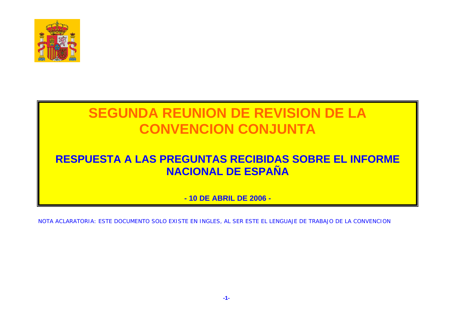

### **RESPUESTA A LAS PREGUNTAS RECIBIDAS SOBRE EL INFORME NACIONAL DE ESPAÑA**

**- 10 DE ABRIL DE 2006 -** 

NOTA ACLARATORIA: ESTE DOCUMENTO SOLO EXISTE EN INGLES, AL SER ESTE EL LENGUAJE DE TRABAJO DE LA CONVENCION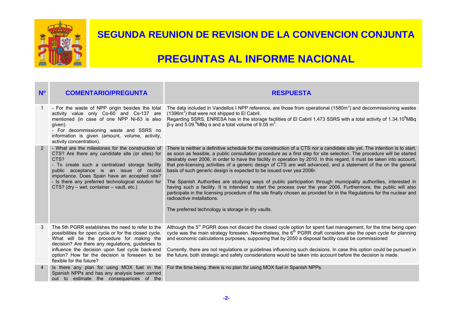

| N <sup>o</sup> | <b>COMENTARIO/PREGUNTA</b>                                                                                                                                                                                                                                                                                                                                        | <b>RESPUESTA</b>                                                                                                                                                                                                                                                                                                                                                                                                                                                                                                                                                                                                                                                                                                                                                                                                                                                                                                                                                                                                                       |
|----------------|-------------------------------------------------------------------------------------------------------------------------------------------------------------------------------------------------------------------------------------------------------------------------------------------------------------------------------------------------------------------|----------------------------------------------------------------------------------------------------------------------------------------------------------------------------------------------------------------------------------------------------------------------------------------------------------------------------------------------------------------------------------------------------------------------------------------------------------------------------------------------------------------------------------------------------------------------------------------------------------------------------------------------------------------------------------------------------------------------------------------------------------------------------------------------------------------------------------------------------------------------------------------------------------------------------------------------------------------------------------------------------------------------------------------|
|                | activity value only Co-60 and Cs-137 are<br>mentioned (in case of one NPP Ni-63 is also<br>given).<br>- For decommissioning waste and SSRS no<br>information is given (amount, volume, activity,<br>activity concentration).                                                                                                                                      | - For the waste of NPP origin besides the total The data included in Vandellos I NPP reference, are those from operational (1580m <sup>3</sup> ) and decommissioning wastes<br>$(1396m3)$ that were not shipped to El Cabril.<br>Regarding SSRS, ENRESA has in the storage facilities of El Cabril 1,473 SSRS with a total activity of 1.34.10 <sup>8</sup> MBq<br>$\beta$ -γ and 5.09. MBq α and a total volume of 9.05 m <sup>3</sup> .                                                                                                                                                                                                                                                                                                                                                                                                                                                                                                                                                                                              |
| $\overline{2}$ | - What are the milestones for the construction of<br>CTS? Are there any candidate site (or sites) for<br>CTS?<br>- To create such a centralized storage facility<br>public acceptance is an issue of crucial<br>importance. Does Spain have an accepted site?<br>- Is there any preferred technological solution for<br>CTS? (dry - wet; container - vault, etc.) | There is neither a definitive schedule for the construction of a CTS nor a candidate site yet. The intention is to start,<br>as soon as feasible, a public consultation procedure as a first step for site selection. The procedure will be started<br>desirably over 2006, in order to have the facility in operation by 2010. In this regard, it must be taken into account,<br>that pre-licensing activities of a generic design of CTS are well advanced, and a statement of the on the general<br>basis of such generic design is expected to be issued over yea 2006r.<br>The Spanish Authorities are studying ways of public participation through municipality authorities, interested in<br>having such a facility. It is intended to start the process over the year 2006. Furthermore, the public will also<br>participate in the licensing procedure of the site finally chosen as provided for in the Regulations for the nuclear and<br>radioactive installations.<br>The preferred technology is storage in dry vaults. |
| 3              | The 5th PGRR establishes the need to refer to the<br>possibilities for open cycle or for the closed cycle.<br>What will be the procedure for making the<br>decision? Are there any regulations, guidelines to<br>influence the decision upon fuel cycle back-end<br>option? How far the decision is foreseen to be<br>flexible for the future?                    | Although the 5 <sup>th</sup> PGRR does not discard the closed cycle option for spent fuel management, for the time being open<br>cycle was the main strategy foreseen. Nevertheless, the 6 <sup>th</sup> PGRR draft considers also the open cycle for planning<br>and economic calculations purposes, supposing that by 2050 a disposal facility could be commissioned<br>Currently, there are not regulations or guidelines influencing such decisions. In case this option could be pursued in<br>the future, both strategic and safety considerations would be taken into account before the decision is made.                                                                                                                                                                                                                                                                                                                                                                                                                      |
| $\overline{4}$ | Is there any plan for using MOX fuel in the<br>Spanish NPPs and has any analysis been carried<br>out to estimate the consequences of the                                                                                                                                                                                                                          | For the time being, there is no plan for using MOX fuel in Spanish NPPs.                                                                                                                                                                                                                                                                                                                                                                                                                                                                                                                                                                                                                                                                                                                                                                                                                                                                                                                                                               |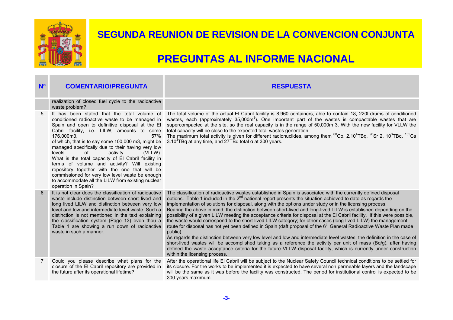

| N <sup>o</sup> | <b>COMENTARIO/PREGUNTA</b>                                                                                                                                                                                                                                                                                                                                                                                                                                                                                                                                                                                                                                   | <b>RESPUESTA</b>                                                                                                                                                                                                                                                                                                                                                                                                                                                                                                                                                                                                                                                                                                                                                                                                                                                                                                                                                                                                                                                                                                                                                                                                                                                                |
|----------------|--------------------------------------------------------------------------------------------------------------------------------------------------------------------------------------------------------------------------------------------------------------------------------------------------------------------------------------------------------------------------------------------------------------------------------------------------------------------------------------------------------------------------------------------------------------------------------------------------------------------------------------------------------------|---------------------------------------------------------------------------------------------------------------------------------------------------------------------------------------------------------------------------------------------------------------------------------------------------------------------------------------------------------------------------------------------------------------------------------------------------------------------------------------------------------------------------------------------------------------------------------------------------------------------------------------------------------------------------------------------------------------------------------------------------------------------------------------------------------------------------------------------------------------------------------------------------------------------------------------------------------------------------------------------------------------------------------------------------------------------------------------------------------------------------------------------------------------------------------------------------------------------------------------------------------------------------------|
|                | realization of closed fuel cycle to the radioactive<br>waste problem?                                                                                                                                                                                                                                                                                                                                                                                                                                                                                                                                                                                        |                                                                                                                                                                                                                                                                                                                                                                                                                                                                                                                                                                                                                                                                                                                                                                                                                                                                                                                                                                                                                                                                                                                                                                                                                                                                                 |
| 5              | It has been stated that the total volume of<br>conditioned radioactive waste to be managed in<br>Spain and open to definitive disposal at the El<br>Cabril facility, i.e. LILW, amounts to some<br>176,000m3,<br>57%<br>of which, that is to say some 100,000 m3, might be<br>managed specifically due to their having very low<br>levels<br>0f<br>activity<br>(VLLW).<br>What is the total capacity of El Cabril facility in<br>terms of volume and activity? Will existing<br>repository together with the one that will be<br>commissioned for very low level waste be enough<br>to accommodate all the LILW from existing nuclear<br>operation in Spain? | The total volume of the actual El Cabril facility is 8,960 containers, able to contain 18, 220 drums of conditioned<br>wastes, each (approximately 35,000m <sup>3</sup> ). One important part of the wastes is compactable wastes that are<br>supercompacted at the site, so the real capacity is in the range of 50,000m 3. With the new facility for VLLW the<br>total capacity will be close to the expected total wastes generation.<br>The maximum total activity is given for different radionuclides, among them ${}^{60}$ Co, 2.10 <sup>4</sup> TBq, ${}^{90}$ Sr 2.10 <sup>3</sup> TBq, <sup>135</sup> Cs<br>3.10 $3$ TBq at any time, and 27TBq total $\alpha$ at 300 years.                                                                                                                                                                                                                                                                                                                                                                                                                                                                                                                                                                                          |
| 6              | It is not clear does the classification of radioactive<br>waste include distinction between short lived and<br>long lived LILW and distinction between very low<br>level and low and intermediate level waste. Such a<br>distinction is not mentioned in the text explaining<br>the classification system (Page 13) even thou a<br>Table 1 are showing a run down of radioactive<br>waste in such a manner.                                                                                                                                                                                                                                                  | The classification of radioactive wastes established in Spain is associated with the currently defined disposal<br>options. Table 1 included in the 2 <sup>nd</sup> national report presents the situation achieved to date as regards the<br>implementation of solutions for disposal, along with the options under study or in the licensing process.<br>Bearing the above in mind, the distinction between short-lived and long-lived LILW is established depending on the<br>possibility of a given LILW meeting the acceptance criteria for disposal at the El Cabril facility. If this were possible,<br>the waste would correspond to the short-lived LILW category; for other cases (long-lived LILW) the management<br>route for disposal has not yet been defined in Spain (daft proposal of the 6 <sup>th</sup> General Radioactive Waste Plan made<br>public).<br>As regards the distinction between very low level and low and intermediate level wastes, the definition in the case of<br>short-lived wastes will be accomplished taking as a reference the activity per unit of mass (Bq/g), after having<br>defined the waste acceptance criteria for the future VLLW disposal facility, which is currently under construction<br>within the licensing process. |
| $7^{\circ}$    | Could you please describe what plans for the<br>closure of the El Cabril repository are provided in<br>the future after its operational lifetime?                                                                                                                                                                                                                                                                                                                                                                                                                                                                                                            | After the operational life El Cabril will be subject to the Nuclear Safety Council technical conditions to be settled for<br>its closure. For the works to be implemented it is expected to have several non permeable layers and the landscape<br>will be the same as it was before the facility was constructed. The period for institutional control is expected to be<br>300 years maximum.                                                                                                                                                                                                                                                                                                                                                                                                                                                                                                                                                                                                                                                                                                                                                                                                                                                                                 |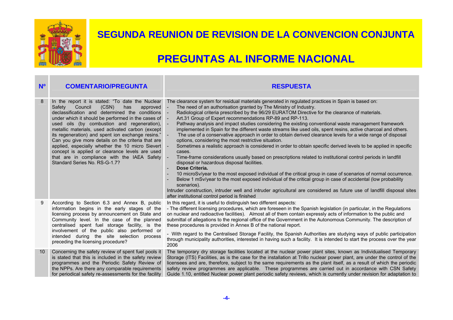

| N <sup>o</sup> | <b>COMENTARIO/PREGUNTA</b>                                                                                                                                                                                                                                                                                                                                                                                                                                                                                                                                                                                            | <b>RESPUESTA</b>                                                                                                                                                                                                                                                                                                                                                                                                                                                                                                                                                                                                                                                                                                                                                                                                                                                                                                                                                                                                                                                                                                                                                                                                                                                                                                                                                                                                                                                                      |
|----------------|-----------------------------------------------------------------------------------------------------------------------------------------------------------------------------------------------------------------------------------------------------------------------------------------------------------------------------------------------------------------------------------------------------------------------------------------------------------------------------------------------------------------------------------------------------------------------------------------------------------------------|---------------------------------------------------------------------------------------------------------------------------------------------------------------------------------------------------------------------------------------------------------------------------------------------------------------------------------------------------------------------------------------------------------------------------------------------------------------------------------------------------------------------------------------------------------------------------------------------------------------------------------------------------------------------------------------------------------------------------------------------------------------------------------------------------------------------------------------------------------------------------------------------------------------------------------------------------------------------------------------------------------------------------------------------------------------------------------------------------------------------------------------------------------------------------------------------------------------------------------------------------------------------------------------------------------------------------------------------------------------------------------------------------------------------------------------------------------------------------------------|
| 8              | In the report it is stated: "To date the Nuclear<br>Council<br>(CSN)<br>Safety<br>has<br>approved<br>declassification and determined the conditions<br>under which it should be performed in the cases of -<br>used oils (by combustion and regeneration), -<br>metallic materials, used activated carbon (except<br>its regeneration) and spent ion exchange resins."<br>Can you give more details on the criteria that are<br>applied, especially whether the 10 micro Sievert -<br>concept is applied or clearance levels are used<br>that are in compliance with the IAEA Safety<br>Standard Series No. RS-G-1.7? | The clearance system for residual materials generated in regulated practices in Spain is based on:<br>The need of an authorisation granted by The Ministry of Industry.<br>Radiological criteria prescribed by the 96/29 EURATOM Directive for the clearance of materials.<br>Art.31 Group of Expert recommendations RP-89 and RP-113.<br>Pathway analysis and impact studies considering the existing conventional waste management framework<br>implemented in Spain for the different waste streams like used oils, spent resins, active charcoal and others.<br>The use of a conservative approach in order to obtain derived clearance levels for a wide range of disposal<br>options, considering the most restrictive situation.<br>Sometimes a realistic approach is considered in order to obtain specific derived levels to be applied in specific<br>cases.<br>Time-frame considerations usually based on prescriptions related to institutional control periods in landfill<br>disposal or hazardous disposal facilities.<br>Dose Criteria.<br>10 microSv/year to the most exposed individual of the critical group in case of scenarios of normal occurrence.<br>Below 1 mSv/year to the most exposed individual of the critical group in case of accidental (low probability<br>scenarios).<br>Intruder construction, intruder well and intruder agricultural are considered as future use of landfill disposal sites<br>after institutional control period is finished |
| 9              | According to Section 6.3 and Annex B, public<br>information begins in the early stages of the<br>licensing process by announcement on State and<br>Community level. In the case of the planned<br>centralised spent fuel storage facility, is the<br>involvement of the public also performed or<br>intended during the site selection process<br>preceding the licensing procedure?                                                                                                                                                                                                                                  | In this regard, it is useful to distinguish two different aspects:<br>- The different licensing procedures, which are foreseen in the Spanish legislation (in particular, in the Regulations<br>on nuclear and radioactive facilities). Almost all of them contain expressly acts of information to the public and<br>submittal of allegations to the regional office of the Government in the Autonomous Community. The description of<br>these procedures is provided in Annex B of the national report.<br>- With regard to the Centralised Storage Facility, the Spanish Authorities are studying ways of public participation<br>through municipality authorities, interested in having such a facility. It is intended to start the process over the year<br>2006                                                                                                                                                                                                                                                                                                                                                                                                                                                                                                                                                                                                                                                                                                               |
| 10             | Concerning the safety review of spent fuel pools it<br>is stated that this is included in the safety review<br>programmes and the Periodic Safety Review of<br>the NPPs. Are there any comparable requirements<br>for periodical safety re-assessments for the facility                                                                                                                                                                                                                                                                                                                                               | The temporary dry storage facilities located at the nuclear power plant sites, known as Individualised Temporary<br>Storage (ITS) Facilities, as is the case for the installation at Trillo nuclear power plant, are under the control of the<br>licensees and are, therefore, subject to the same requirements as the plant itself, as a result of which the periodic<br>safety review programmes are applicable. These programmes are carried out in accordance with CSN Safety<br>Guide 1.10, entitled Nuclear power plant periodic safety reviews, which is currently under revision for adaptation to                                                                                                                                                                                                                                                                                                                                                                                                                                                                                                                                                                                                                                                                                                                                                                                                                                                                            |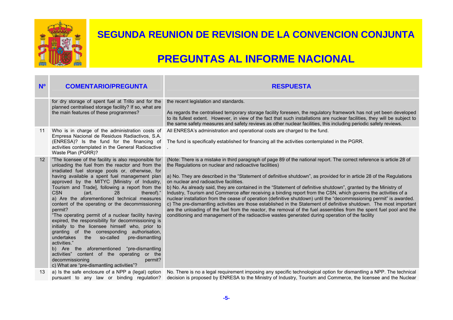

| N <sup>o</sup>    | <b>COMENTARIO/PREGUNTA</b>                                                                                                                                                                                                                                                                                                                                                                                                                                                                                                                                                                                                                                                                                                                                                                                                                                                                                                          | <b>RESPUESTA</b>                                                                                                                                                                                                                                                                                                                                                                                                                                                                                                                                                                                                                                                                                                                                                                                                                                                                                                                                                                                                                                                      |
|-------------------|-------------------------------------------------------------------------------------------------------------------------------------------------------------------------------------------------------------------------------------------------------------------------------------------------------------------------------------------------------------------------------------------------------------------------------------------------------------------------------------------------------------------------------------------------------------------------------------------------------------------------------------------------------------------------------------------------------------------------------------------------------------------------------------------------------------------------------------------------------------------------------------------------------------------------------------|-----------------------------------------------------------------------------------------------------------------------------------------------------------------------------------------------------------------------------------------------------------------------------------------------------------------------------------------------------------------------------------------------------------------------------------------------------------------------------------------------------------------------------------------------------------------------------------------------------------------------------------------------------------------------------------------------------------------------------------------------------------------------------------------------------------------------------------------------------------------------------------------------------------------------------------------------------------------------------------------------------------------------------------------------------------------------|
|                   | for dry storage of spent fuel at Trillo and for the<br>planned centralised storage facility? If so, what are<br>the main features of these programmes?                                                                                                                                                                                                                                                                                                                                                                                                                                                                                                                                                                                                                                                                                                                                                                              | the recent legislation and standards.<br>As regards the centralised temporary storage facility foreseen, the regulatory framework has not yet been developed<br>to its fullest extent. However, in view of the fact that such installations are nuclear facilities, they will be subject to<br>the same safety measures and safety reviews as other nuclear facilities, this including periodic safety reviews.                                                                                                                                                                                                                                                                                                                                                                                                                                                                                                                                                                                                                                                       |
| 11                | Empresa Nacional de Residuos Radiactivos, S.A.<br>(ENRESA)? Is the fund for the financing of<br>activities contemplated in the General Radioactive<br>Waste Plan (PGRR)?                                                                                                                                                                                                                                                                                                                                                                                                                                                                                                                                                                                                                                                                                                                                                            | Who is in charge of the administration costs of All ENRESA's administration and operational costs are charged to the fund.<br>The fund is specifically established for financing all the activities contemplated in the PGRR.                                                                                                                                                                                                                                                                                                                                                                                                                                                                                                                                                                                                                                                                                                                                                                                                                                         |
| $12 \overline{ }$ | "The licensee of the facility is also responsible for<br>unloading the fuel from the reactor and from the<br>irradiated fuel storage pools or, otherwise, for<br>having available a spent fuel management plan<br>approved by the MITYC [Ministry of Industry,<br>Tourism and Trade], following a report from the<br><b>CSN</b><br>(art.<br>thereof)."<br>28<br>a) Are the aforementioned technical measures<br>content of the operating or the decommissioning<br>permit?<br>"The operating permit of a nuclear facility having<br>expired, the responsibility for decommissioning is<br>initially to the licensee himself who, prior to<br>granting of the corresponding authorisation,<br>the so-called<br>pre-dismantling<br>undertakes<br>activities."<br>b) Are the aforementioned "pre-dismantling<br>activities" content of the operating or the<br>decommissioning<br>permit?<br>c) What are "pre-dismantling activities"? | (Note: There is a mistake in third paragraph of page 89 of the national report. The correct reference is article 28 of<br>the Regulations on nuclear and radioactive facilities)<br>a) No. They are described in the "Statement of definitive shutdown", as provided for in article 28 of the Regulations<br>on nuclear and radioactive facilities.<br>b) No. As already said, they are contained in the "Statement of definitive shutdown", granted by the Ministry of<br>Industry, Tourism and Commerce after receiving a binding report from the CSN, which governs the activities of a<br>nuclear installation from the cease of operation (definitive shutdown) until the "decommissioning permit" is awarded.<br>c) The pre-dismantling activities are those established in the Statement of definitive shutdown. The most important<br>are the unloading of the fuel from the reactor, the removal of the fuel assemblies from the spent fuel pool and the<br>conditioning and management of the radioactive wastes generated during operation of the facility |
| 13                | pursuant to any law or binding regulation?                                                                                                                                                                                                                                                                                                                                                                                                                                                                                                                                                                                                                                                                                                                                                                                                                                                                                          | a) Is the safe enclosure of a NPP a (legal) option No. There is no a legal requirement imposing any specific technological option for dismantling a NPP. The technical<br>decision is proposed by ENRESA to the Ministry of Industry, Tourism and Commerce, the licensee and the Nuclear                                                                                                                                                                                                                                                                                                                                                                                                                                                                                                                                                                                                                                                                                                                                                                              |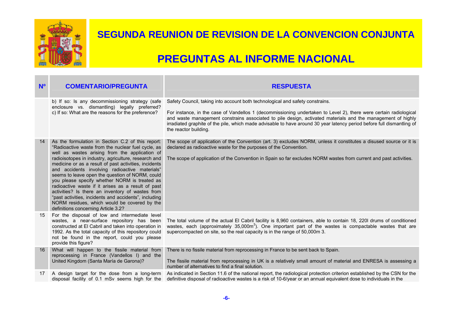

| N <sup>o</sup> | <b>COMENTARIO/PREGUNTA</b>                                                                                                                                                                                                                                                                                                                                                                                                                                                                                                                                                                                                                                                                 | <b>RESPUESTA</b>                                                                                                                                                                                                                                                                                                                                                                                                                                                     |
|----------------|--------------------------------------------------------------------------------------------------------------------------------------------------------------------------------------------------------------------------------------------------------------------------------------------------------------------------------------------------------------------------------------------------------------------------------------------------------------------------------------------------------------------------------------------------------------------------------------------------------------------------------------------------------------------------------------------|----------------------------------------------------------------------------------------------------------------------------------------------------------------------------------------------------------------------------------------------------------------------------------------------------------------------------------------------------------------------------------------------------------------------------------------------------------------------|
|                | b) If so: Is any decommissioning strategy (safe<br>enclosure vs. dismantling) legally preferred?<br>c) If so: What are the reasons for the preference?                                                                                                                                                                                                                                                                                                                                                                                                                                                                                                                                     | Safety Council, taking into account both technological and safety constrains.<br>For instance, in the case of Vandellos 1 (decommissioning undertaken to Level 2), there were certain radiological<br>and waste management constrains associated to pile design, activated materials and the management of highly<br>irradiated graphite of the pile, which made advisable to have around 30 year latency period before full dismantling of<br>the reactor building. |
| 14             | As the formulation in Section C.2 of this report:<br>"Radioactive waste from the nuclear fuel cycle, as<br>well as wastes arising from the application of<br>radioisotopes in industry, agriculture, research and<br>medicine or as a result of past activities, incidents<br>and accidents involving radioactive materials"<br>seems to leave open the question of NORM, could<br>you please specify whether NORM is treated as<br>radioactive waste if it arises as a result of past<br>activities? Is there an inventory of wastes from<br>"past activities, incidents and accidents", including<br>NORM residues, which would be covered by the<br>definitions concerning Article 3.2? | The scope of application of the Convention (art. 3) excludes NORM, unless it constitutes a disused source or it is<br>declared as radioactive waste for the purposes of the Convention.<br>The scope of application of the Convention in Spain so far excludes NORM wastes from current and past activities.                                                                                                                                                         |
| 15             | For the disposal of low and intermediate level<br>wastes, a near-surface repository has been<br>constructed at El Cabril and taken into operation in<br>1992. As the total capacity of this repository could<br>not be found in the report, could you please<br>provide this figure?                                                                                                                                                                                                                                                                                                                                                                                                       | The total volume of the actual El Cabril facility is 8,960 containers, able to contain 18, 220I drums of conditioned<br>wastes, each (approximately 35,000m <sup>3</sup> ). One important part of the wastes is compactable wastes that are<br>supercompacted on site, so the real capacity is in the range of 50,000m 3.                                                                                                                                            |
| 16             | What will happen to the fissile material from<br>reprocessing in France (Vandellos I) and the<br>United Kingdom (Santa María de Garona)?                                                                                                                                                                                                                                                                                                                                                                                                                                                                                                                                                   | There is no fissile material from reprocessing in France to be sent back to Spain.<br>The fissile material from reprocessing in UK is a relatively small amount of material and ENRESA is assessing a<br>number of alternatives to find a final solution.                                                                                                                                                                                                            |
| 17             | A design target for the dose from a long-term<br>disposal facility of 0.1 mSv seems high for the                                                                                                                                                                                                                                                                                                                                                                                                                                                                                                                                                                                           | As indicated in Section 11.6 of the national report, the radiological protection criterion established by the CSN for the<br>definitive disposal of radioactive wastes is a risk of 10-6/year or an annual equivalent dose to individuals in the                                                                                                                                                                                                                     |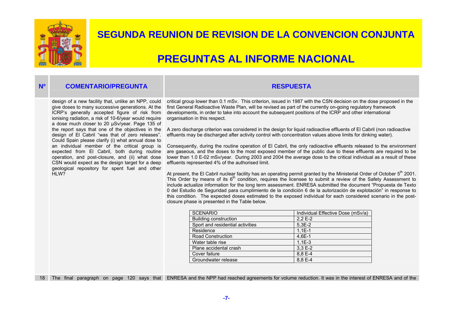

### **PREGUNTAS AL INFORME NACIONAL**

#### **Nº COMENTARIO/PREGUNTA RESPUESTA**

design of a new facility that, unlike an NPP, could give doses to many successive generations. At the ICRP's generally accepted figure of risk from ionising radiation, a risk of 10-6/year would require a dose much closer to 20 µSv/year. Page 135 of the report says that one of the objectives in the design of El Cabril "was that of zero releases". Could Spain please clarify (i) what annual dose to an individual member of the critical group is expected from El Cabril, both during routine operation, and post-closure, and (ii) what dose CSN would expect as the design target for a deep geological repository for spent fuel and other HI<sub>W</sub>?

#### critical group lower than 0.1 mSv. This criterion, issued in 1987 with the CSN decision on the dose proposed in the first General Radioactive Waste Plan, will be revised as part of the currently on-going regulatory framework developments, in order to take into account the subsequent positions of the ICRP and other international

A zero discharge criterion was considered in the design for liquid radioactive effluents of El Cabril (non radioactive effluents may be discharged after activity control with concentration values above limits for dinking water).

Consequently, during the routine operation of El Cabril, the only radioactive effluents released to the environment are gaseous, and the doses to the most exposed member of the public due to these effluents are required to be lower than 1.0 E-02 mSv/year. During 2003 and 2004 the average dose to the critical individual as a result of these effluents represented 4% of the authorised limit.

At present, the El Cabril nuclear facility has an operating permit granted by the Ministerial Order of October  $5<sup>th</sup>$  2001. This Order by means of its  $6<sup>th</sup>$  condition, requires the licensee to submit a review of the Safety Assessment to include actualize information for the long term assessment. ENRESA submitted the document "Propuesta de Texto 0 del Estudio de Seguridad para cumplimiento de la condición 6 de la autorización de explotación" in response to this condition. The expected doses estimated to the exposed individual for each considered scenario in the postclosure phase is presented in the Table below.

| <b>SCENARIO</b>                  | Individual Effective Dose (mSv/a) |
|----------------------------------|-----------------------------------|
| Building construction            | $2,2E-2$                          |
| Sport and residential activities | $5.3E-2$                          |
| Residence                        | $1.1E-1$                          |
| <b>Road Construction</b>         | $4.6E - 1$                        |
| Water table rise                 | $1.1E-3$                          |
| Plane accidental crash           | $3.3E-2$                          |
| Cover failure                    | 8.8 E-4                           |
| Groundwater release              | 8,8 E-4                           |

18 The final paragraph on page 120 says that ENRESA and the NPP had reached agreements for volume reduction. It was in the interest of ENRESA and of the

organisation in this respect.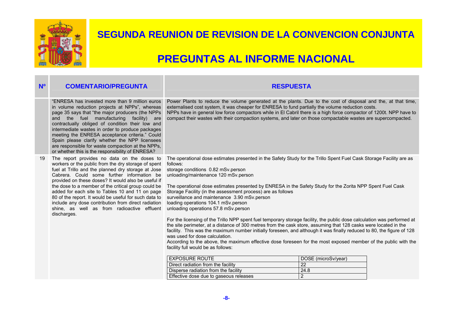

| N <sup>o</sup> | <b>COMENTARIO/PREGUNTA</b>                                                                                                                                                                                                                                                                                                                                                                                                                                                                                                             | <b>RESPUESTA</b>                                                                                                                                                                                                                                                                                                                                                                                                                                                                                                                                                |                     |  |
|----------------|----------------------------------------------------------------------------------------------------------------------------------------------------------------------------------------------------------------------------------------------------------------------------------------------------------------------------------------------------------------------------------------------------------------------------------------------------------------------------------------------------------------------------------------|-----------------------------------------------------------------------------------------------------------------------------------------------------------------------------------------------------------------------------------------------------------------------------------------------------------------------------------------------------------------------------------------------------------------------------------------------------------------------------------------------------------------------------------------------------------------|---------------------|--|
|                | "ENRESA has invested more than 9 million euros<br>in volume reduction projects at NPPs", whereas<br>page 35 says that "the major producers (the NPPs<br>the fuel manufacturing facility) are<br>and<br>contractually obliged of condition their low and<br>intermediate wastes in order to produce packages<br>meeting the ENRESA acceptance criteria." Could<br>Spain please clarify whether the NPP licensees<br>are responsible for waste compaction at the NPPs,<br>or whether this is the responsibility of ENRESA?               | Power Plants to reduce the volume generated at the plants. Due to the cost of disposal and the, at that time,<br>externalised cost system, it was cheaper for ENRESA to fund partially the volume reduction costs.<br>NPPs have in general low force compactors while in El Cabril there is a high force compactor of 1200t. NPP have to<br>compact their wastes with their compaction systems, and later on those compactable wastes are supercompacted.                                                                                                       |                     |  |
| 19             | The report provides no data on the doses to<br>workers or the public from the dry storage of spent<br>fuel at Trillo and the planned dry storage at Jose<br>Cabrera. Could some further information be<br>provided on these doses? It would also be useful if<br>the dose to a member of the critical group could be<br>added for each site to Tables 10 and 11 on page<br>80 of the report. It would be useful for such data to<br>include any dose contribution from direct radiation<br>shine, as well as from radioactive effluent | The operational dose estimates presented in the Safety Study for the Trillo Spent Fuel Cask Storage Facility are as<br>follows:<br>storage conditions 0.82 mSv.person<br>unloading/maintenance 120 mSv.person<br>The operational dose estimates presented by ENRESA in the Safety Study for the Zorita NPP Spent Fuel Cask<br>Storage Facility (in the assessment process) are as follows<br>surveillance and maintenance 3.90 mSv.person<br>loading operations 104.1 mSv.person<br>unloading operations 57.8 mSv.person                                        |                     |  |
|                | discharges.                                                                                                                                                                                                                                                                                                                                                                                                                                                                                                                            | For the licensing of the Trillo NPP spent fuel temporary storage facility, the public dose calculation was performed at<br>the site perimeter, at a distance of 300 metres from the cask store, assuming that 128 casks were located in the<br>facility. This was the maximum number initially foreseen, and although it was finally reduced to 80, the figure of 128<br>was used for dose calculation.<br>According to the above, the maximum effective dose foreseen for the most exposed member of the public with the<br>facility full would be as follows: |                     |  |
|                |                                                                                                                                                                                                                                                                                                                                                                                                                                                                                                                                        | <b>EXPOSURE ROUTE</b>                                                                                                                                                                                                                                                                                                                                                                                                                                                                                                                                           | DOSE (microSv/year) |  |
|                |                                                                                                                                                                                                                                                                                                                                                                                                                                                                                                                                        | Direct radiation from the facility                                                                                                                                                                                                                                                                                                                                                                                                                                                                                                                              | 22                  |  |
|                |                                                                                                                                                                                                                                                                                                                                                                                                                                                                                                                                        | Disperse radiation from the facility                                                                                                                                                                                                                                                                                                                                                                                                                                                                                                                            | 24.8                |  |
|                |                                                                                                                                                                                                                                                                                                                                                                                                                                                                                                                                        | Effective dose due to gaseous releases                                                                                                                                                                                                                                                                                                                                                                                                                                                                                                                          | 2                   |  |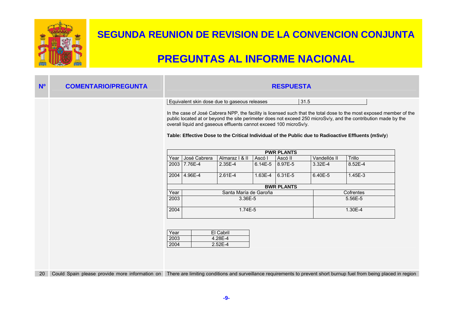

| N <sup>o</sup> |                                                                                                                                                                                                                                                                                                                                               |
|----------------|-----------------------------------------------------------------------------------------------------------------------------------------------------------------------------------------------------------------------------------------------------------------------------------------------------------------------------------------------|
|                |                                                                                                                                                                                                                                                                                                                                               |
|                | In the case of José Cabrera NPP, the facility is licensed such that the total dose to the most exposed member of the<br>public located at or beyond the site perimeter does not exceed 250 microSv/y, and the contribution made by the<br>Table: Effective Dose to the Critical Individual of the Public due to Radioactive Effluents (mSv/y) |
|                |                                                                                                                                                                                                                                                                                                                                               |
|                | Trillo                                                                                                                                                                                                                                                                                                                                        |
|                | 8.52E-4                                                                                                                                                                                                                                                                                                                                       |
|                | $1.45E-3$                                                                                                                                                                                                                                                                                                                                     |
|                |                                                                                                                                                                                                                                                                                                                                               |
|                | Cofrentes                                                                                                                                                                                                                                                                                                                                     |
|                | 5.56E-5                                                                                                                                                                                                                                                                                                                                       |
|                | 1.30E-4                                                                                                                                                                                                                                                                                                                                       |
|                | Could Spain please provide more information on There are limiting conditions and surveillance requirements to prevent short burnup fuel from being placed in region                                                                                                                                                                           |
| 20             |                                                                                                                                                                                                                                                                                                                                               |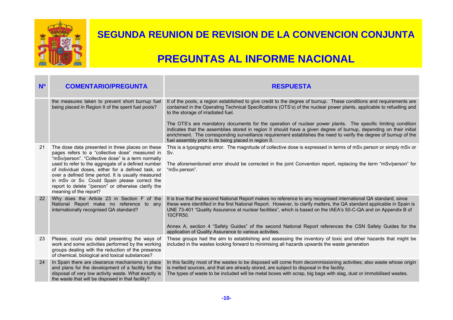

| N <sup>o</sup> | <b>COMENTARIO/PREGUNTA</b>                                                                                                                                                                                                                                                                                                                                                                                                                                   | <b>RESPUESTA</b>                                                                                                                                                                                                                                                                                                                                                                                                                                                                                                                                                                                                                                                                                       |
|----------------|--------------------------------------------------------------------------------------------------------------------------------------------------------------------------------------------------------------------------------------------------------------------------------------------------------------------------------------------------------------------------------------------------------------------------------------------------------------|--------------------------------------------------------------------------------------------------------------------------------------------------------------------------------------------------------------------------------------------------------------------------------------------------------------------------------------------------------------------------------------------------------------------------------------------------------------------------------------------------------------------------------------------------------------------------------------------------------------------------------------------------------------------------------------------------------|
|                | the measures taken to prevent short burnup fuel<br>being placed in Region II of the spent fuel pools?                                                                                                                                                                                                                                                                                                                                                        | II of the pools, a region established to give credit to the degree of burnup. These conditions and requirements are<br>contained in the Operating Technical Specifications (OTS's) of the nuclear power plants, applicable to refuelling and<br>to the storage of irradiated fuel.<br>The OTS's are mandatory documents for the operation of nuclear power plants. The specific limiting condition<br>indicates that the assemblies stored in region II should have a given degree of burnup, depending on their initial<br>enrichment. The corresponding surveillance requirement establishes the need to verify the degree of burnup of the<br>fuel assembly prior to its being placed in region II. |
| 21             | The dose data presented in three places on these<br>pages refers to a "collective dose" measured in<br>"mSv/person". "Collective dose" is a term normally<br>used to refer to the aggregate of a defined number<br>of individual doses, either for a defined task, or<br>over a defined time period. It is usually measured<br>in mSv or Sv. Could Spain please correct the<br>report to delete "/person" or otherwise clarify the<br>meaning of the report? | This is a typographic error. The magnitude of collective dose is expressed in terms of mSv.person or simply mSv or<br>Sv.<br>The aforementioned error should be corrected in the joint Convention report, replacing the term "mSv/person" for<br>"mSv.person".                                                                                                                                                                                                                                                                                                                                                                                                                                         |
| 22             | Why does the Article 23 in Section F of the<br>National Report make no reference to any<br>internationally recognised QA standard?                                                                                                                                                                                                                                                                                                                           | It is true that the second National Report makes no reference to any recognised international QA standard, since<br>these were identified in the first National Report. However, to clarify matters, the QA standard applicable in Spain is<br>UNE 73-401 "Quality Assurance at nuclear facilities", which is based on the IAEA's 50-C-QA and on Appendix B of<br>10CFR50.<br>Annex A, section 4 "Safety Guides" of the second National Report references the CSN Safety Guides for the<br>application of Quality Assurance to various activities.                                                                                                                                                     |
| 23             | Please, could you detail presenting the ways of<br>work and some activities performed by the working<br>groups dealing with the reduction of the presence<br>of chemical, biological and toxical substances?                                                                                                                                                                                                                                                 | These groups had the aim to establishing and assessing the inventory of toxic and other hazards that might be<br>included in the wastes looking forward to minimising all hazards upwards the waste generation                                                                                                                                                                                                                                                                                                                                                                                                                                                                                         |
| 24             | In Spain there are clearance mechanisms in place<br>and plans for the development of a facility for the<br>disposal of very low activity waste. What exactly is<br>the waste that will be disposed in that facility?                                                                                                                                                                                                                                         | In this facility most of the wastes to be disposed will come from decommissioning activities; also waste whose origin<br>is melted sources, and that are already stored, are subject to disposal in the facility.<br>The types of waste to be included will be metal boxes with scrap, big bags with slag, dust or immobilised wastes.                                                                                                                                                                                                                                                                                                                                                                 |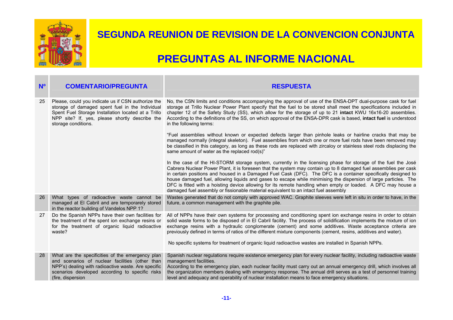

| N <sup>o</sup> | <b>COMENTARIO/PREGUNTA</b>                                                                                                                                                                                                            | <b>RESPUESTA</b>                                                                                                                                                                                                                                                                                                                                                                                                                                                                                                                                                                                                                                                               |
|----------------|---------------------------------------------------------------------------------------------------------------------------------------------------------------------------------------------------------------------------------------|--------------------------------------------------------------------------------------------------------------------------------------------------------------------------------------------------------------------------------------------------------------------------------------------------------------------------------------------------------------------------------------------------------------------------------------------------------------------------------------------------------------------------------------------------------------------------------------------------------------------------------------------------------------------------------|
| 25             | Please, could you indicate us if CSN authorize the<br>storage of damaged spent fuel in the Individual<br>Spent Fuel Storage Installation located at a Trillo<br>NPP site? If, yes, please shortly describe the<br>storage conditions. | No, the CSN limits and conditions accompanying the approval of use of the ENSA-DPT dual-purpose cask for fuel<br>storage at Trillo Nuclear Power Plant specify that the fuel to be stored shall meet the specifications included in<br>chapter 12 of the Safety Study (SS), which allow for the storage of up to 21 intact KWU 16x16-20 assemblies.<br>According to the definitions of the SS, on which approval of the ENSA-DPR cask is based, intact fuel is understood<br>in the following terms:                                                                                                                                                                           |
|                |                                                                                                                                                                                                                                       | "Fuel assemblies without known or expected defects larger than pinhole leaks or hairline cracks that may be<br>managed normally (integral skeleton). Fuel assemblies from which one or more fuel rods have been removed may<br>be classified in this category, as long as these rods are replaced with zircaloy or stainless steel rods displacing the<br>same amount of water as the replaced rod(s)"                                                                                                                                                                                                                                                                         |
|                |                                                                                                                                                                                                                                       | In the case of the HI-STORM storage system, currently in the licensing phase for storage of the fuel the José<br>Cabrera Nuclear Power Plant, it is foreseen that the system may contain up to 8 damaged fuel assemblies per cask<br>in certain positions and housed in a Damaged Fuel Cask (DFC). The DFC is a container specifically designed to<br>house damaged fuel, allowing liquids and gases to escape while minimising the dispersion of large particles. The<br>DFC is fitted with a hoisting device allowing for its remote handling when empty or loaded. A DFC may house a<br>damaged fuel assembly or fissionable material equivalent to an intact fuel assembly |
| 26             | What types of radioactive waste cannot be<br>managed at El Cabril and are temporarely stored<br>in the reactor building of Vandelos NPP 1?                                                                                            | Wastes generated that do not comply with approved WAC. Graphite sleeves were left in situ in order to have, in the<br>future, a common management with the graphite pile.                                                                                                                                                                                                                                                                                                                                                                                                                                                                                                      |
| 27             | Do the Spanish NPPs have their own facilities for<br>the treatment of the spent ion exchange resins or<br>for the treatment of organic liquid radioactive<br>waste?                                                                   | All of NPPs have their own systems for processing and conditioning spent ion exchange resins in order to obtain<br>solid waste forms to be disposed of in El Cabril facility. The process of solidification implements the mixture of ion<br>exchange resins with a hydraulic conglomerate (cement) and some additives. Waste acceptance criteria are<br>previously defined in terms of ratios of the different mixture components (cement, resins, additives and water).<br>No specific systems for treatment of organic liquid radioactive wastes are installed in Spanish NPPs.                                                                                             |
| 28             | What are the specificities of the emergency plan<br>and scenarios of nuclear facilities (other than<br>NPP's) dealing with radioactive waste. Are specific<br>scenarios developed according to specific risks<br>(fire, dispersion    | Spanish nuclear regulations require existence emergency plan for every nuclear facility, including radioactive waste<br>management facilities.<br>According to the emergency plan, each nuclear facility must carry out an annual emergency drill, which involves all<br>the organization members dealing with emergency response. The annual drill serves as a test of personnel training<br>level and adequacy and operability of nuclear installation means to face emergency situations.                                                                                                                                                                                   |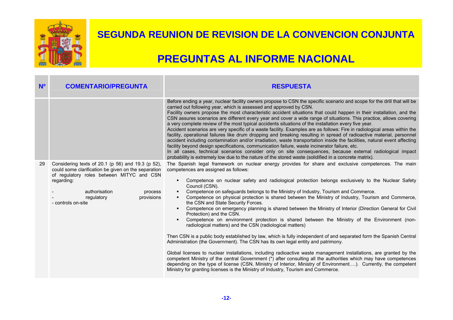

| N <sup>o</sup> | <b>COMENTARIO/PREGUNTA</b>                                                                                                                                                                                                                        | <b>RESPUESTA</b>                                                                                                                                                                                                                                                                                                                                                                                                                                                                                                                                                                                                                                                                                                                                                                                                                                                                                                                                                                                                                                                                                                                                                                                                                                                                                                                                                                                                                                                                           |
|----------------|---------------------------------------------------------------------------------------------------------------------------------------------------------------------------------------------------------------------------------------------------|--------------------------------------------------------------------------------------------------------------------------------------------------------------------------------------------------------------------------------------------------------------------------------------------------------------------------------------------------------------------------------------------------------------------------------------------------------------------------------------------------------------------------------------------------------------------------------------------------------------------------------------------------------------------------------------------------------------------------------------------------------------------------------------------------------------------------------------------------------------------------------------------------------------------------------------------------------------------------------------------------------------------------------------------------------------------------------------------------------------------------------------------------------------------------------------------------------------------------------------------------------------------------------------------------------------------------------------------------------------------------------------------------------------------------------------------------------------------------------------------|
|                |                                                                                                                                                                                                                                                   | Before ending a year, nuclear facility owners propose to CSN the specific scenario and scope for the drill that will be<br>carried out following year, which is assessed and approved by CSN.<br>Facility owners propose the most characteristic accident situations that could happen in their installation, and the<br>CSN assures scenarios are different every year and cover a wide range of situations. This practice, allows covering<br>a very complete review of the most typical accidents situations of the installation every five year.<br>Accident scenarios are very specific of a waste facility. Examples are as follows: Fire in radiological areas within the<br>facility, operational failures like drum dropping and breaking resulting in spread of radioactive material, personnel<br>accident including contamination and/or irradiation, waste transportation inside the facilities, natural event affecting<br>facility beyond design specifications, communication failure, waste incinerator failure, etc.<br>In all cases, technical scenarios consider only on site consequences, because external radiological impact<br>probability is extremely low due to the nature of the stored waste (solidified in a concrete matrix).                                                                                                                                                                                                                              |
| 29             | Considering texts of 20.1 (p 56) and 19.3 (p 52),<br>could some clarification be given on the separation<br>of regulatory roles between MITYC and CSN<br>regarding:<br>authorisation<br>process<br>provisions<br>regulatory<br>- controls on-site | The Spanish legal framework on nuclear energy provides for share and exclusive competences. The main<br>competences are assigned as follows:<br>Competence on nuclear safety and radiological protection belongs exclusively to the Nuclear Safety<br>$\blacksquare$<br>Council (CSN).<br>Competence on safeguards belongs to the Ministry of Industry, Tourism and Commerce.<br>Competence on physical protection is shared between the Ministry of Industry, Tourism and Commerce,<br>the CSN and State Security Forces.<br>Competence on emergency planning is shared between the Ministry of Interior (Direction General for Civil<br>Protection) and the CSN.<br>Competence on environment protection is shared between the Ministry of the Environment (non-<br>radiological matters) and the CSN (radiological matters)<br>Then CSN is a public body established by law, which is fully independent of and separated form the Spanish Central<br>Administration (the Government). The CSN has its own legal entity and patrimony.<br>Global licenses to nuclear installations, including radioactive waste management installations, are granted by the<br>competent Ministry of the central Government (*) after consulting all the authorities which may have competences<br>depending on the type of license (CSN, Ministry of Interior, Ministry of Environment). Currently, the competent<br>Ministry for granting licenses is the Ministry of Industry, Tourism and Commerce. |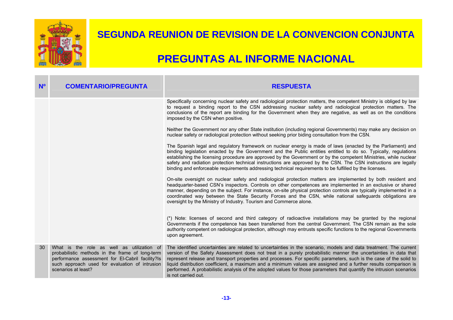

| N <sup>o</sup> | <b>COMENTARIO/PREGUNTA</b>                                                                                                                                                                                                 | <b>RESPUESTA</b>                                                                                                                                                                                                                                                                                                                                                                                                                                                                                                                                                                                                               |
|----------------|----------------------------------------------------------------------------------------------------------------------------------------------------------------------------------------------------------------------------|--------------------------------------------------------------------------------------------------------------------------------------------------------------------------------------------------------------------------------------------------------------------------------------------------------------------------------------------------------------------------------------------------------------------------------------------------------------------------------------------------------------------------------------------------------------------------------------------------------------------------------|
|                |                                                                                                                                                                                                                            | Specifically concerning nuclear safety and radiological protection matters, the competent Ministry is obliged by law<br>to request a binding report to the CSN addressing nuclear safety and radiological protection matters. The<br>conclusions of the report are binding for the Government when they are negative, as well as on the conditions<br>imposed by the CSN when positive.                                                                                                                                                                                                                                        |
|                |                                                                                                                                                                                                                            | Neither the Government nor any other State institution (including regional Governments) may make any decision on<br>nuclear safety or radiological protection without seeking prior biding consultation from the CSN.                                                                                                                                                                                                                                                                                                                                                                                                          |
|                |                                                                                                                                                                                                                            | The Spanish legal and regulatory framework on nuclear energy is made of laws (enacted by the Parliament) and<br>binding legislation enacted by the Government and the Public entities entitled to do so. Typically, regulations<br>establishing the licensing procedure are approved by the Government or by the competent Ministries, while nuclear<br>safety and radiation protection technical instructions are approved by the CSN. The CSN instructions are legally<br>binding and enforceable requirements addressing technical requirements to be fulfilled by the licenses.                                            |
|                |                                                                                                                                                                                                                            | On-site oversight on nuclear safety and radiological protection matters are implemented by both resident and<br>headquarter-based CSN's inspectors. Controls on other competences are implemented in an exclusive or shared<br>manner, depending on the subject. For instance, on-site physical protection controls are typically implemented in a<br>coordinated way between the State Security Forces and the CSN, while national safeguards obligations are<br>oversight by the Ministry of Industry. Tourism and Commerce alone.                                                                                           |
|                |                                                                                                                                                                                                                            | (*) Note: licenses of second and third category of radioactive installations may be granted by the regional<br>Governments if the competence has been transferred from the central Government. The CSN remain as the sole<br>authority competent on radiological protection, although may entrusts specific functions to the regional Governments<br>upon agreement.                                                                                                                                                                                                                                                           |
| 30             | What is the role as well as utilization of<br>probabilistic methods in the frame of long-term<br>performance assessment for EI-Cabril facility?Is<br>such approach used for evaluation of intrusion<br>scenarios at least? | The identified uncertainties are related to uncertainties in the scenario, models and data treatment. The current<br>version of the Safety Assessment does not treat in a purely probabilistic manner the uncertainties in data that<br>represent release and transport properties and processes. For specific parameters, such is the case of the solid to<br>liquid distribution coefficient, a maximum and a minimum values are assigned and a further results comparison is<br>performed. A probabilistic analysis of the adopted values for those parameters that quantify the intrusion scenarios<br>is not carried out. |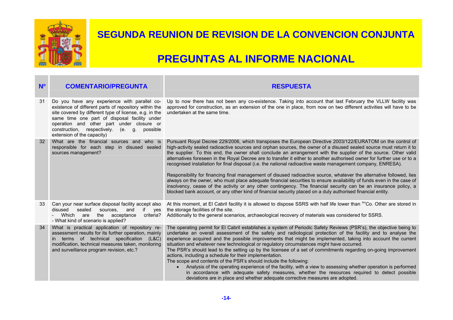

| N <sup>o</sup>  | <b>COMENTARIO/PREGUNTA</b>                                                                                                                                                                                                                                                                                                                 | <b>RESPUESTA</b>                                                                                                                                                                                                                                                                                                                                                                                                                                                                                                                                                                                                                                                                                                                                                                                                                                                                                                                                                                                                                                                                    |
|-----------------|--------------------------------------------------------------------------------------------------------------------------------------------------------------------------------------------------------------------------------------------------------------------------------------------------------------------------------------------|-------------------------------------------------------------------------------------------------------------------------------------------------------------------------------------------------------------------------------------------------------------------------------------------------------------------------------------------------------------------------------------------------------------------------------------------------------------------------------------------------------------------------------------------------------------------------------------------------------------------------------------------------------------------------------------------------------------------------------------------------------------------------------------------------------------------------------------------------------------------------------------------------------------------------------------------------------------------------------------------------------------------------------------------------------------------------------------|
| 31              | Do you have any experience with parallel co-<br>existence of different parts of repository within the<br>site covered by different type of license, e.g. in the<br>same time one part of disposal facility under<br>operation and other part under closure or<br>construction, respectively. (e. g. possible<br>extension of the capacity) | Up to now there has not been any co-existence. Taking into account that last February the VLLW facility was<br>approved for construction, as an extension of the one in place, from now on two different activities will have to be<br>undertaken at the same time.                                                                                                                                                                                                                                                                                                                                                                                                                                                                                                                                                                                                                                                                                                                                                                                                                 |
| 32 <sup>2</sup> | What are the financial sources and who is<br>responsible for each step in disused sealed<br>sources management?                                                                                                                                                                                                                            | Pursuant Royal Decree 229/2006, which transposes the European Directive 2003/122/EURATOM on the control of<br>high-activity sealed radioactive sources and orphan sources, the owner of a disused sealed source must return it to<br>the supplier. To this end, the owner shall conclude an arrangement with the supplier of the source. Other valid<br>alternatives foreseen in the Royal Decree are to transfer it either to another authorised owner for further use or to a<br>recognised installation for final disposal (i.e. the national radioactive waste management company, ENRESA).<br>Responsibility for financing final management of disused radioactive source, whatever the alternative followed, lies<br>always on the owner, who must place adequate financial securities to ensure availability of funds even in the case of<br>insolvency, cease of the activity or any other contingency. The financial security can be an insurance policy, a<br>blocked bank account, or any other kind of financial security placed on a duly authorised financial entity. |
| 33              | Can your near surface disposal facility accept also<br>disused<br>sealed<br>and<br>if yes<br>sources.<br>criteria?<br>Which<br>are<br>the acceptance<br>- What kind of scenario is applied?                                                                                                                                                | At this moment, at El Cabril facility it is allowed to dispose SSRS with half life lower than <sup>60</sup> Co. Other are stored in<br>the storage facilities of the site.<br>Additionally to the general scenarios, archaeological recovery of materials was considered for SSRS.                                                                                                                                                                                                                                                                                                                                                                                                                                                                                                                                                                                                                                                                                                                                                                                                  |
| 34              | What is practical application of repository re-<br>assessment results for its further operation, mainly<br>in terms of technical specification (L&C)<br>modification, technical measures taken, monitoring<br>and surveillance program revision, etc.?                                                                                     | The operating permit for El Cabril establishes a system of Periodic Safety Reviews (PSR's), the objective being to<br>undertake an overall assessment of the safety and radiological protection of the facility and to analyse the<br>experience acquired and the possible improvements that might be implemented, taking into account the current<br>situation and whatever new technological or regulatory circumstances might have occurred.<br>The PSR's should lead to the setting up by the licensee of a set of commitments regarding on-going improvement<br>actions, including a schedule for their implementation.<br>The scope and contents of the PSR's should include the following:<br>Analysis of the operating experience of the facility, with a view to assessing whether operation is performed<br>in accordance with adequate safety measures, whether the resources required to detect possible<br>deviations are in place and whether adequate corrective measures are adopted.                                                                               |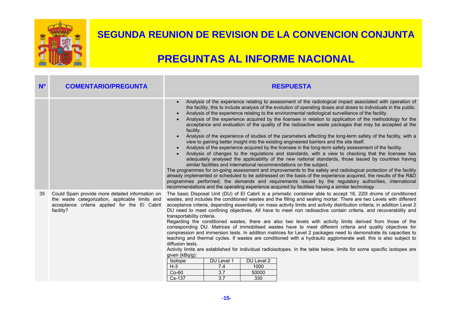

| N <sup>o</sup> | <b>COMENTARIO/PREGUNTA</b>                                                                                                                                        | <b>RESPUESTA</b>                                                                                                                                                                                                                                                                                                                                                                                                                                                                                                                                                                                                                                                                                                                                                                                                                                                                                                                                                                                                                                                                                                                                                                                                                                                                                                                                                                                                                                                                                                                                                                                                                                                                                       |
|----------------|-------------------------------------------------------------------------------------------------------------------------------------------------------------------|--------------------------------------------------------------------------------------------------------------------------------------------------------------------------------------------------------------------------------------------------------------------------------------------------------------------------------------------------------------------------------------------------------------------------------------------------------------------------------------------------------------------------------------------------------------------------------------------------------------------------------------------------------------------------------------------------------------------------------------------------------------------------------------------------------------------------------------------------------------------------------------------------------------------------------------------------------------------------------------------------------------------------------------------------------------------------------------------------------------------------------------------------------------------------------------------------------------------------------------------------------------------------------------------------------------------------------------------------------------------------------------------------------------------------------------------------------------------------------------------------------------------------------------------------------------------------------------------------------------------------------------------------------------------------------------------------------|
|                |                                                                                                                                                                   | Analysis of the experience relating to assessment of the radiological impact associated with operation of<br>$\bullet$<br>the facility, this to include analysis of the evolution of operating doses and doses to individuals in the public.<br>Analysis of the experience relating to the environmental radiological surveillance of the facility.<br>$\bullet$<br>Analysis of the experience acquired by the licensee in relation to application of the methodology for the<br>acceptance and evaluation of the quality of the radioactive waste packages that may be accepted at the<br>facility.<br>Analysis of the experience of studies of the parameters affecting the long-term safety of the facility, with a<br>$\bullet$<br>view to gaining better insight into the existing engineered barriers and the site itself.<br>Analysis of the experience acquired by the licensee in the long-term safety assessment of the facility.<br>$\bullet$<br>Analysis of changes to the regulations and standards, with a view to checking that the licensee has<br>adequately analysed the applicability of the new national standards, those issued by countries having<br>similar facilities and international recommendations on the subject.<br>The programmes for on-going assessment and improvements to the safety and radiological protection of the facility<br>already implemented or scheduled to be addressed on the basis of the experience acquired, the results of the R&D<br>programmes performed, the demands and requirements issued by the regulatory authorities, international<br>recommendations and the operating experience acquired by facilities having a similar technology |
| 35             | Could Spain provide more detailed information on<br>the waste categorization, applicable limits and<br>acceptance criteria applied for the El Cabril<br>facility? | The basic Disposal Unit (DU) of El Cabril is a prismatic container able to accept 18, 220l drums of conditioned<br>wastes, and includes the conditioned wastes and the filling and sealing mortar. There are two Levels with different<br>acceptance criteria, depending essentially on mass activity limits and activity distribution criteria, in addition Level 2<br>DU need to meet confining objectives. All have to meet non radioactive contain criteria, and recoverability and<br>transportability criteria.<br>Regarding the conditioned wastes, there are also two levels with activity limits derived from those of the<br>corresponding DU. Matrices of immobilised wastes have to meet different criteria and quality objectives for<br>compression and immersion tests. In addition matrices for Level 2 packages need to demonstrate its capacities to<br>leaching and thermal cycles. If wastes are conditioned with a hydraulic agglomerate wall, this is also subject to<br>diffusion tests.<br>Activity limits are established for individual radioisotopes. In the table below, limits for some specific isotopes are<br>given (kBq/g):<br>DU Level 2<br>DU Level 1<br>Isotope<br>$H-3$<br>7.4<br>1000<br>3.7<br>$Co-60$<br>50000<br>330<br>Cs-137<br>3.7                                                                                                                                                                                                                                                                                                                                                                                                                         |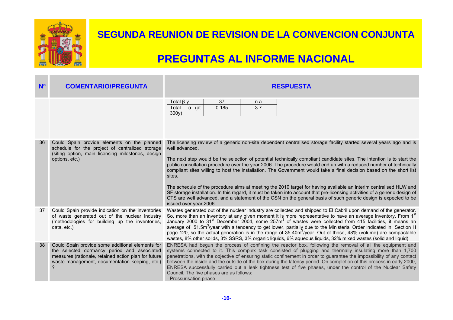

| N <sup>o</sup> | <b>COMENTARIO/PREGUNTA</b>                                                                                                                                                                                                            | <b>RESPUESTA</b>                                                                                                                                                                                                                                                                                                                                                                                                                                                                                                                                                                                                                                                                                                                                                                                                                                                                                                      |
|----------------|---------------------------------------------------------------------------------------------------------------------------------------------------------------------------------------------------------------------------------------|-----------------------------------------------------------------------------------------------------------------------------------------------------------------------------------------------------------------------------------------------------------------------------------------------------------------------------------------------------------------------------------------------------------------------------------------------------------------------------------------------------------------------------------------------------------------------------------------------------------------------------------------------------------------------------------------------------------------------------------------------------------------------------------------------------------------------------------------------------------------------------------------------------------------------|
|                |                                                                                                                                                                                                                                       | Total $\beta$ - $\gamma$<br>37<br>n.a<br>3.7<br>$\alpha$ (at<br>0.185<br>Total<br>300y)                                                                                                                                                                                                                                                                                                                                                                                                                                                                                                                                                                                                                                                                                                                                                                                                                               |
| 36             | Could Spain provide elements on the planned<br>schedule for the project of centralized storage<br>(siting option, main licensing milestones, design<br>options, etc.)                                                                 | The licensing review of a generic non-site dependent centralised storage facility started several years ago and is<br>well advanced.<br>The next step would be the selection of potential technically compliant candidate sites. The intention is to start the<br>public consultation procedure over the year 2006. The procedure would end up with a reduced number of technically<br>compliant sites willing to host the installation. The Government would take a final decision based on the short list<br>sites.<br>The schedule of the procedure aims at meeting the 2010 target for having available an interim centralised HLW and<br>SF storage installation. In this regard, it must be taken into account that pre-licensing activities of a generic design of<br>CTS are well advanced, and a statement of the CSN on the general basis of such generic design is expected to be<br>issued over year 2006 |
| 37             | Could Spain provide indication on the inventories<br>of waste generated out of the nuclear industry<br>(methodologies for building up the inventories,<br>data, etc.)                                                                 | Wastes generated out of the nuclear industry are collected and shipped to El Cabril upon demand of the generator.<br>So, more than an inventory at any given moment it is more representative to have an average inventory. From 1 <sup>st</sup> January 2000 to 31 <sup>st</sup> December 2004, some 257m <sup>3</sup> of wastes were collected from 415 facilities, it means a<br>average of 51.5m <sup>3</sup> /year with a tendency to get lower, partially due to the Ministerial Order indicated in Section H<br>page 120, so the actual generation is in the range of 35-40m <sup>3</sup> /year. Out of those, 48% (volume) are compactable<br>wastes, 8% other solids, 3% SSRS, 3% organic liquids, 6% aqueous liquids, 32% mixed wastes (solid and liquid)                                                                                                                                                   |
| 38             | Could Spain provide some additional elements for<br>the selected dormancy period and associated<br>measures (rationale, retained action plan for future<br>waste management, documentation keeping, etc.)<br>$\overline{\phantom{a}}$ | ENRESA had begun the process of confining the reactor box, following the removal of all the equipment and<br>systems connected to it. This complex task consisted of plugging and thermally insulating more than 1,700<br>penetrations, with the objective of ensuring static confinement in order to guarantee the impossibility of any contact<br>between the inside and the outside of the box during the latency period. On completion of this process in early 2000,<br>ENRESA successfully carried out a leak tightness test of five phases, under the control of the Nuclear Safety<br>Council. The five phases are as follows:<br>- Pressurisation phase                                                                                                                                                                                                                                                      |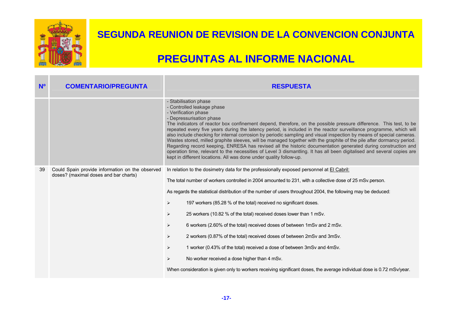

| N <sup>o</sup> | <b>COMENTARIO/PREGUNTA</b>                                                               | <b>RESPUESTA</b>                                                                                                                                                                                                                                                                                                                                                                                                                                                                                                                                                                                                                                                                                                                                                                                                                                                                                                      |
|----------------|------------------------------------------------------------------------------------------|-----------------------------------------------------------------------------------------------------------------------------------------------------------------------------------------------------------------------------------------------------------------------------------------------------------------------------------------------------------------------------------------------------------------------------------------------------------------------------------------------------------------------------------------------------------------------------------------------------------------------------------------------------------------------------------------------------------------------------------------------------------------------------------------------------------------------------------------------------------------------------------------------------------------------|
|                |                                                                                          | - Stabilisation phase<br>- Controlled leakage phase<br>- Verification phase<br>- Depressurisation phase<br>The indicators of reactor box confinement depend, therefore, on the possible pressure difference. This test, to be<br>repeated every five years during the latency period, is included in the reactor surveillance programme, which will<br>also include checking for internal corrosion by periodic sampling and visual inspection by means of special cameras.<br>Wastes stored, milled graphite sleeves, will be managed together with the graphite of the pile after dormancy period.<br>Regarding record keeping, ENRESA has revised all the historic documentation generated during construction and<br>operation time, relevant to the necessities of Level 3 dismantling. It has all been digitalised and several copies are<br>kept in different locations. All was done under quality follow-up. |
| 39             | Could Spain provide information on the observed<br>doses? (maximal doses and bar charts) | In relation to the dosimetry data for the professionally exposed personnel at El Cabril:<br>The total number of workers controlled in 2004 amounted to 231, with a collective dose of 25 mSv.person.                                                                                                                                                                                                                                                                                                                                                                                                                                                                                                                                                                                                                                                                                                                  |
|                |                                                                                          | As regards the statistical distribution of the number of users throughout 2004, the following may be deduced:                                                                                                                                                                                                                                                                                                                                                                                                                                                                                                                                                                                                                                                                                                                                                                                                         |
|                |                                                                                          | $\blacktriangleright$<br>197 workers (85.28 % of the total) received no significant doses.                                                                                                                                                                                                                                                                                                                                                                                                                                                                                                                                                                                                                                                                                                                                                                                                                            |
|                |                                                                                          | 25 workers (10.82 % of the total) received doses lower than 1 mSv.<br>$\blacktriangleright$                                                                                                                                                                                                                                                                                                                                                                                                                                                                                                                                                                                                                                                                                                                                                                                                                           |
|                |                                                                                          | 6 workers (2.60% of the total) received doses of between 1mSv and 2 mSv.<br>$\blacktriangleright$                                                                                                                                                                                                                                                                                                                                                                                                                                                                                                                                                                                                                                                                                                                                                                                                                     |
|                |                                                                                          | 2 workers (0.87% of the total) received doses of between 2mSv and 3mSv.<br>$\blacktriangleright$                                                                                                                                                                                                                                                                                                                                                                                                                                                                                                                                                                                                                                                                                                                                                                                                                      |
|                |                                                                                          | 1 worker (0.43% of the total) received a dose of between 3mSv and 4mSv.<br>$\blacktriangleright$                                                                                                                                                                                                                                                                                                                                                                                                                                                                                                                                                                                                                                                                                                                                                                                                                      |
|                |                                                                                          | No worker received a dose higher than 4 mSv.<br>$\blacktriangle$                                                                                                                                                                                                                                                                                                                                                                                                                                                                                                                                                                                                                                                                                                                                                                                                                                                      |
|                |                                                                                          | When consideration is given only to workers receiving significant doses, the average individual dose is 0.72 mSv/year.                                                                                                                                                                                                                                                                                                                                                                                                                                                                                                                                                                                                                                                                                                                                                                                                |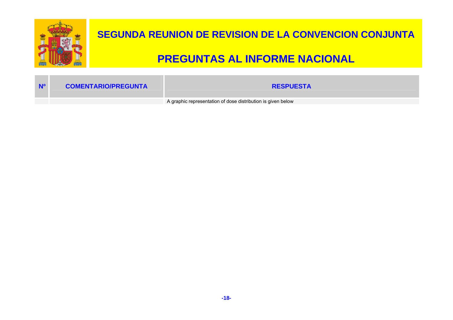

| N <sup>o</sup> | <b>COMENTARIO/PREGUNTA</b> | <b>RESPUESTA</b>                                             |
|----------------|----------------------------|--------------------------------------------------------------|
|                |                            | A graphic representation of dose distribution is given below |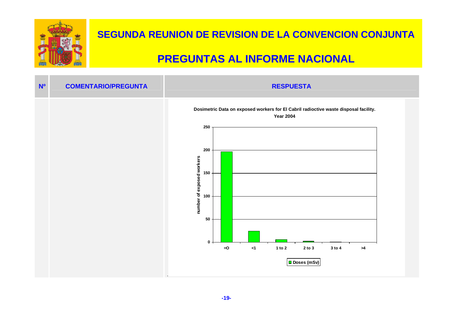

| N <sup>o</sup> | <b>COMENTARIO/PREGUNTA</b> | <b>RESPUESTA</b>                                                                                                                                                                                                                                                                     |
|----------------|----------------------------|--------------------------------------------------------------------------------------------------------------------------------------------------------------------------------------------------------------------------------------------------------------------------------------|
|                |                            | Dosimetric Data on exposed workers for El Cabril radioctive waste disposal facility.<br><b>Year 2004</b><br>250<br>200<br>number of exposed workers<br>150<br>100<br>50<br>$0 -$<br>1 to $2$<br>$2$ to $3$<br>3 to 4<br>$= 0$<br>$\leq 1$<br>$>\!\!4$<br>$ \blacksquare$ Doses (mSv) |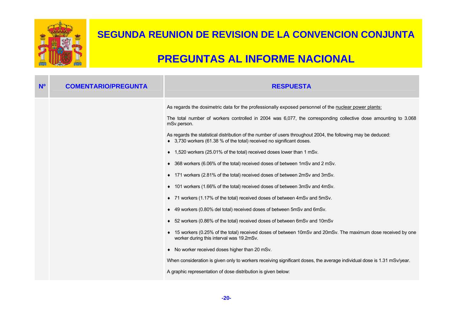

| N <sup>o</sup> | <b>COMENTARIO/PREGUNTA</b> | <b>RESPUESTA</b>                                                                                                                                                                       |
|----------------|----------------------------|----------------------------------------------------------------------------------------------------------------------------------------------------------------------------------------|
|                |                            | As regards the dosimetric data for the professionally exposed personnel of the nuclear power plants:                                                                                   |
|                |                            | The total number of workers controlled in 2004 was 6,077, the corresponding collective dose amounting to 3.068<br>mSv.person.                                                          |
|                |                            | As regards the statistical distribution of the number of users throughout 2004, the following may be deduced:<br>◆ 3,730 workers (61.38 % of the total) received no significant doses. |
|                |                            | ♦ 1,520 workers (25.01% of the total) received doses lower than 1 mSv.                                                                                                                 |
|                |                            | ♦ 368 workers (6.06% of the total) received doses of between 1mSv and 2 mSv.                                                                                                           |
|                |                            | ♦ 171 workers (2.81% of the total) received doses of between 2mSv and 3mSv.                                                                                                            |
|                |                            | 101 workers (1.66% of the total) received doses of between 3mSv and 4mSv.                                                                                                              |
|                |                            | ◆ 71 workers (1.17% of the total) received doses of between 4mSv and 5mSv.                                                                                                             |
|                |                            | ♦ 49 workers (0.80% del total) received doses of between 5mSv and 6mSv.                                                                                                                |
|                |                            | ♦ 52 workers (0.86% of the total) received doses of between 6mSv and 10mSv                                                                                                             |
|                |                            | 15 workers (0.25% of the total) received doses of between 10mSv and 20mSv. The maximum dose received by one<br>worker during this interval was 19.2mSv.                                |
|                |                            | No worker received doses higher than 20 mSv.<br>٠                                                                                                                                      |
|                |                            | When consideration is given only to workers receiving significant doses, the average individual dose is 1.31 mSv/year.                                                                 |
|                |                            | A graphic representation of dose distribution is given below:                                                                                                                          |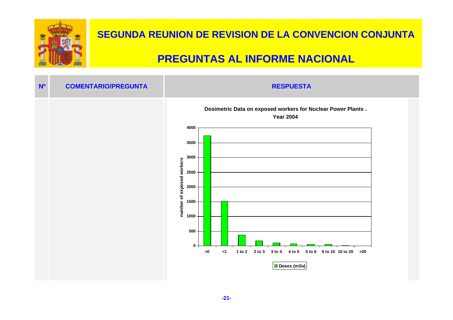

| N <sup>o</sup> | <b>COMENTARIO/PREGUNTA</b> | <b>RESPUESTA</b>                                                                                                                                                                            |  |
|----------------|----------------------------|---------------------------------------------------------------------------------------------------------------------------------------------------------------------------------------------|--|
|                |                            | Dosimetric Data on exposed workers for Nuclear Power Plants.<br><b>Year 2004</b><br>4000<br>3500<br>3000<br>number of exposed workers<br>2500<br>2000<br>1500<br>1000<br>500<br>$\mathbf 0$ |  |
|                |                            | 2 to 3<br>3 to 4<br>6 to 10 10 to 20 > 20<br>$= 0$<br>$\leq$ 1<br>1 to $2$<br>4 to 5<br>$5$ to $6$<br>Doses (mSv)                                                                           |  |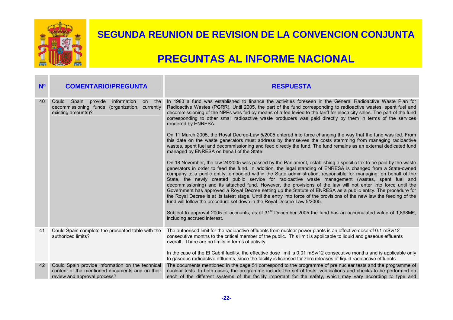

| N <sup>o</sup> | <b>COMENTARIO/PREGUNTA</b>                                                                                                          | <b>RESPUESTA</b>                                                                                                                                                                                                                                                                                                                                                                                                                                                                                                                                                                                                                                                                                                                                                                                                                                                                                    |
|----------------|-------------------------------------------------------------------------------------------------------------------------------------|-----------------------------------------------------------------------------------------------------------------------------------------------------------------------------------------------------------------------------------------------------------------------------------------------------------------------------------------------------------------------------------------------------------------------------------------------------------------------------------------------------------------------------------------------------------------------------------------------------------------------------------------------------------------------------------------------------------------------------------------------------------------------------------------------------------------------------------------------------------------------------------------------------|
| 40             | Spain<br>provide<br>information<br>the<br>Could<br>on<br>decommissioning funds<br>(organization, currently<br>existing amounts)?    | In 1983 a fund was established to finance the activities foreseen in the General Radioactive Waste Plan for<br>Radioactive Wastes (PGRR). Until 2005, the part of the fund corresponding to radioactive wastes, spent fuel and<br>decommissioning of the NPPs was fed by means of a fee levied to the tariff for electricity sales. The part of the fund<br>corresponding to other small radioactive waste producers was paid directly by them in terms of the services<br>rendered by ENRESA.                                                                                                                                                                                                                                                                                                                                                                                                      |
|                |                                                                                                                                     | On 11 March 2005, the Royal Decree-Law 5/2005 entered into force changing the way that the fund was fed. From<br>this date on the waste generators must address by themselves the costs stemming from managing radioactive<br>wastes, spent fuel and decommissioning and feed directly the fund. The fund remains as an external dedicated fund<br>managed by ENRESA on behalf of the State.                                                                                                                                                                                                                                                                                                                                                                                                                                                                                                        |
|                |                                                                                                                                     | On 18 November, the law 24/2005 was passed by the Parliament, establishing a specific tax to be paid by the waste<br>generators in order to feed the fund. In addition, the legal standing of ENRESA is changed from a State-owned<br>company to a public entity, embodied within the State administration, responsible for managing, on behalf of the<br>State, the newly created public service for radioactive waste management (wastes, spent fuel and<br>decommissioning) and its attached fund. However, the provisions of the law will not enter into force until the<br>Government has approved a Royal Decree setting up the Statute of ENRESA as a public entity. The procedure for<br>the Royal Decree is at its latest stage. Until the entry into force of the provisions of the new law the feeding of the<br>fund will follow the procedure set down in the Royal Decree-Law 5/2005. |
|                |                                                                                                                                     | Subject to approval 2005 of accounts, as of 31 <sup>st</sup> December 2005 the fund has an accumulated value of 1,898M€,<br>including accrued interest.                                                                                                                                                                                                                                                                                                                                                                                                                                                                                                                                                                                                                                                                                                                                             |
| 41             | Could Spain complete the presented table with the<br>authorized limits?                                                             | The authorised limit for the radioactive effluents from nuclear power plants is an effective dose of 0.1 mSv/12<br>consecutive months to the critical member of the public. This limit is applicable to liquid and gaseous effluents<br>overall. There are no limits in terms of activity.                                                                                                                                                                                                                                                                                                                                                                                                                                                                                                                                                                                                          |
|                |                                                                                                                                     | In the case of the El Cabril facility, the effective dose limit is 0.01 mSv/12 consecutive months and is applicable only<br>to gaseous radioactive effluents, since the facility is licensed for zero releases of liquid radioactive effluents                                                                                                                                                                                                                                                                                                                                                                                                                                                                                                                                                                                                                                                      |
| 42             | Could Spain provide information on the technical<br>content of the mentioned documents and on their<br>review and approval process? | The documents mentioned in the page 51 correspond to the programme of pre nuclear tests and the programme of<br>nuclear tests. In both cases, the programme include the set of tests, verifications and checks to be performed on<br>each of the different systems of the facility important for the safety, which may vary according to type and                                                                                                                                                                                                                                                                                                                                                                                                                                                                                                                                                   |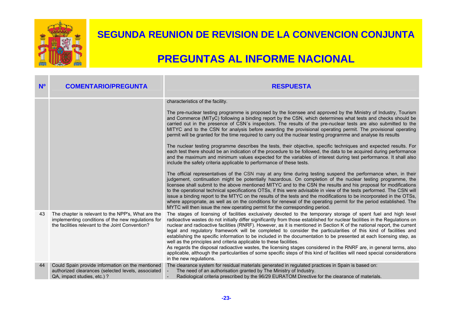

| N <sup>o</sup> | <b>COMENTARIO/PREGUNTA</b>                                                                                                                                   | <b>RESPUESTA</b>                                                                                                                                                                                                                                                                                                                                                                                                                                                                                                                                                                                                                                                                                                                                                                                                                                                                                                                                                                                                                                                                                                                                                                                                                                                                                                                                                                                                                                                                                                                                 |
|----------------|--------------------------------------------------------------------------------------------------------------------------------------------------------------|--------------------------------------------------------------------------------------------------------------------------------------------------------------------------------------------------------------------------------------------------------------------------------------------------------------------------------------------------------------------------------------------------------------------------------------------------------------------------------------------------------------------------------------------------------------------------------------------------------------------------------------------------------------------------------------------------------------------------------------------------------------------------------------------------------------------------------------------------------------------------------------------------------------------------------------------------------------------------------------------------------------------------------------------------------------------------------------------------------------------------------------------------------------------------------------------------------------------------------------------------------------------------------------------------------------------------------------------------------------------------------------------------------------------------------------------------------------------------------------------------------------------------------------------------|
|                |                                                                                                                                                              | characteristics of the facility.<br>The pre-nuclear testing programme is proposed by the licensee and approved by the Ministry of Industry, Tourism<br>and Commerce (MITyC) following a binding report by the CSN, which determines what tests and checks should be<br>carried out in the presence of CSN's inspectors. The results of the pre-nuclear tests are also submitted to the<br>MITYC and to the CSN for analysis before awarding the provisional operating permit. The provisional operating<br>permit will be granted for the time required to carry out the nuclear testing programme and analyse its results<br>The nuclear testing programme describes the tests, their objective, specific techniques and expected results. For<br>each test there should be an indication of the procedure to be followed, the data to be acquired during performance<br>and the maximum and minimum values expected for the variables of interest during test performance. It shall also<br>include the safety criteria applicable to performance of these tests.<br>The official representatives of the CSN may at any time during testing suspend the performance when, in their<br>judgement, continuation might be potentially hazardous. On completion of the nuclear testing programme, the<br>licensee shall submit to the above mentioned MITYC and to the CSN the results and his proposal for modifications<br>to the operational technical specifications OTSs, if this were advisable in view of the tests performed. The CSN will |
|                |                                                                                                                                                              | issue a binding report to the MTYC on the results of the tests and the modifications to be incorporated in the OTSs,<br>where appropriate, as well as on the conditions for renewal of the operating permit for the period established. The<br>MYTC will then issue the new operating permit for the corresponding period.                                                                                                                                                                                                                                                                                                                                                                                                                                                                                                                                                                                                                                                                                                                                                                                                                                                                                                                                                                                                                                                                                                                                                                                                                       |
| 43             | The chapter is relevant to the NPP's, What are the<br>implementing conditions of the new regulations for<br>the facilities relevant to the Joint Convention? | The stages of licensing of facilities exclusively devoted to the temporary storage of spent fuel and high level<br>radioactive wastes do not initially differ significantly from those established for nuclear facilities in the Regulations on<br>nuclear and radioactive facilities (RNRF). However, as it is mentioned in Section K of the national report, the current<br>legal and regulatory framework will be completed to consider the particularities of this kind of facilities and<br>establishing the specific information to be included in the documentation to be presented at each licensing step, as<br>well as the principles and criteria applicable to these facilities.<br>As regards the disposal radioactive wastes, the licensing stages considered in the RNRF are, in general terms, also<br>applicable, although the particularities of some specific steps of this kind of facilities will need special considerations<br>in the new regulations.                                                                                                                                                                                                                                                                                                                                                                                                                                                                                                                                                                    |
| 44             | Could Spain provide information on the mentioned<br>authorized clearances (selected levels, associated<br>QA, impact studies, etc.) ?                        | The clearance system for residual materials generated in regulated practices in Spain is based on:<br>The need of an authorisation granted by The Ministry of Industry.<br>Radiological criteria prescribed by the 96/29 EURATOM Directive for the clearance of materials.                                                                                                                                                                                                                                                                                                                                                                                                                                                                                                                                                                                                                                                                                                                                                                                                                                                                                                                                                                                                                                                                                                                                                                                                                                                                       |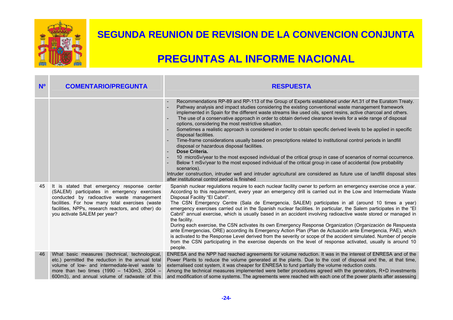

| N <sup>o</sup> | <b>COMENTARIO/PREGUNTA</b>                                                                                                                                                                                                                                                       | <b>RESPUESTA</b>                                                                                                                                                                                                                                                                                                                                                                                                                                                                                                                                                                                                                                                                                                                                                                                                                                                                                                                                                                                                                                                                                                                                                                                                                                                      |
|----------------|----------------------------------------------------------------------------------------------------------------------------------------------------------------------------------------------------------------------------------------------------------------------------------|-----------------------------------------------------------------------------------------------------------------------------------------------------------------------------------------------------------------------------------------------------------------------------------------------------------------------------------------------------------------------------------------------------------------------------------------------------------------------------------------------------------------------------------------------------------------------------------------------------------------------------------------------------------------------------------------------------------------------------------------------------------------------------------------------------------------------------------------------------------------------------------------------------------------------------------------------------------------------------------------------------------------------------------------------------------------------------------------------------------------------------------------------------------------------------------------------------------------------------------------------------------------------|
|                |                                                                                                                                                                                                                                                                                  | Recommendations RP-89 and RP-113 of the Group of Experts established under Art.31 of the Euratom Treaty.<br>Pathway analysis and impact studies considering the existing conventional waste management framework<br>implemented in Spain for the different waste streams like used oils, spent resins, active charcoal and others.<br>The use of a conservative approach in order to obtain derived clearance levels for a wide range of disposal<br>options, considering the most restrictive situation.<br>Sometimes a realistic approach is considered in order to obtain specific derived levels to be applied in specific<br>disposal facilities.<br>Time-frame considerations usually based on prescriptions related to institutional control periods in landfill<br>disposal or hazardous disposal facilities.<br>Dose Criteria.<br>10 microSv/year to the most exposed individual of the critical group in case of scenarios of normal occurrence.<br>Below 1 mSv/year to the most exposed individual of the critical group in case of accidental (low probability<br>scenarios).<br>Intruder construction, intruder well and intruder agricultural are considered as future use of landfill disposal sites<br>after institutional control period is finished |
| 45             | It is stated that emergency response center<br>(SALEM) participates in emergency exercises<br>conducted by radioactive waste management<br>facilities. For how many total exercises (waste<br>facilities, NPPs, research reactors, and other) do<br>you activate SALEM per year? | Spanish nuclear regulations require to each nuclear facility owner to perform an emergency exercise once a year.<br>According to this requirement, every year an emergency drill is carried out in the Low and Intermediate Waste<br>Disposal Facility "El Cabril".<br>The CSN Emergency Centre (Sala de Emergencia, SALEM) participates in all (around 10 times a year)<br>emergency exercises carried out in the Spanish nuclear facilities. In particular, the Salem participates in the "El<br>Cabril" annual exercise, which is usually based in an accident involving radioactive waste stored or managed in<br>the facility.<br>During each exercise, the CSN activates its own Emergency Response Organization (Organización de Respuesta<br>ante Emergencias, ORE) according its Emergency Action Plan (Plan de Actuación ante Emergencia, PAE), which<br>is activated to the Response Level derived from the severity or scope of the accident simulated. Number of people<br>from the CSN participating in the exercise depends on the level of response activated, usually is around 10<br>people.                                                                                                                                                        |
| 46             | What basic measures (technical, technological,<br>etc.) permitted the reduction in the annual total<br>volume of low- and intermediate-level waste to<br>more than two times $(1990 - 1430 \text{m})$ , 2004 -<br>600m3), and annual volume of radwaste of this                  | ENRESA and the NPP had reached agreements for volume reduction. It was in the interest of ENRESA and of the<br>Power Plants to reduce the volume generated at the plants. Due to the cost of disposal and the, at that time,<br>externalised cost system, it was cheaper for ENRESA to fund partially the volume reduction costs.<br>Among the technical measures implemented were better procedures agreed with the generators, R+D investments<br>and modification of some systems. The agreements were reached with each one of the power plants after assessing                                                                                                                                                                                                                                                                                                                                                                                                                                                                                                                                                                                                                                                                                                   |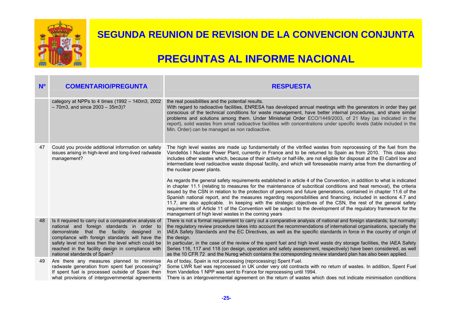

| N <sup>o</sup> | <b>COMENTARIO/PREGUNTA</b>                                                                                                                                                                                                                                                                                                                      | <b>RESPUESTA</b>                                                                                                                                                                                                                                                                                                                                                                                                                                                                                                                                                                                                                                                                                                                                                                          |
|----------------|-------------------------------------------------------------------------------------------------------------------------------------------------------------------------------------------------------------------------------------------------------------------------------------------------------------------------------------------------|-------------------------------------------------------------------------------------------------------------------------------------------------------------------------------------------------------------------------------------------------------------------------------------------------------------------------------------------------------------------------------------------------------------------------------------------------------------------------------------------------------------------------------------------------------------------------------------------------------------------------------------------------------------------------------------------------------------------------------------------------------------------------------------------|
|                | category at NPPs to 4 times (1992 - 140m3, 2002<br>$-70m3$ , and since $2003 - 35m3$ ?                                                                                                                                                                                                                                                          | the real possibilities and the potential results.<br>With regard to radioactive facilities, ENRESA has developed annual meetings with the generators in order they get<br>conscious of the technical conditions for waste management, have better internal procedures, and share similar<br>problems and solutions among them. Under Ministerial Order ECO/1449/2003, of 21 May (as indicated in the<br>report), solid wastes from small radioactive facilities with concentrations under specific levels (table included in the<br>Min. Order) can be managed as non radioactive.                                                                                                                                                                                                        |
| 47             | Could you provide additional information on safety<br>issues arising in high-level and long-lived radwaste<br>management?                                                                                                                                                                                                                       | The high level wastes are made up fundamentally of the vitrified wastes from reprocessing of the fuel from the<br>Vandellós I Nuclear Power Plant, currently in France and to be returned to Spain as from 2010. This class also<br>includes other wastes which, because of their activity or half-life, are not eligible for disposal at the El Cabril low and<br>intermediate level radioactive waste disposal facility, and which will foreseeable mainly arise from the dismantling of<br>the nuclear power plants.                                                                                                                                                                                                                                                                   |
|                |                                                                                                                                                                                                                                                                                                                                                 | As regards the general safety requirements established in article 4 of the Convention, in addition to what is indicated<br>in chapter 11.1 (relating to measures for the maintenance of subcritical conditions and heat removal), the criteria<br>issued by the CSN in relation to the protection of persons and future generations, contained in chapter 11.6 of the<br>Spanish national report, and the measures regarding responsibilities and financing, included in sections 4.7 and<br>11.7, are also applicable. In keeping with the strategic objectives of the CSN, the rest of the general safety<br>requirements of Article 11 of the Convention will be subject to the development of the regulatory framework for the<br>management of high level wastes in the coming years |
| 48             | Is it required to carry out a comparative analysis of<br>national and foreign standards in order to<br>demonstrate that the facility designed in<br>compliance with foreign standards will have the<br>safety level not less then the level which could be<br>reached in the facility design in compliance with<br>national standards of Spain? | There is not a formal requirement to carry out a comparative analysis of national and foreign standards; but normally<br>the regulatory review procedure takes into account the recommendations of international organisations, specially the<br>IAEA Safety Standards and the EC Directives, as well as the specific standards in force in the country of origin of<br>the design.<br>In particular, in the case of the review of the spent fuel and high level waste dry storage facilities, the IAEA Safety<br>Series 116, 117 and 118 (on design, operation and safety assessment, respectively) have been considered, as well<br>as the 10 CFR 72 and the Nureg which contains the corresponding review standard plan has also been applied.                                         |
| 49             | Are there any measures planned to minimise<br>radwaste generation from spent fuel processing?<br>If spent fuel is processed outside of Spain then<br>what provisions of intergovernmental agreements                                                                                                                                            | As of today, Spain is not processing (reprocessing) Spent Fuel.<br>Some LWR fuel was reprocessed in UK under very old contracts with no return of wastes. In addition, Spent Fuel<br>from Vandellos 1 NPP was sent to France for reprocessing until 1994.<br>There is an intergovernmental agreement on the return of wastes which does not indicate minimisation conditions                                                                                                                                                                                                                                                                                                                                                                                                              |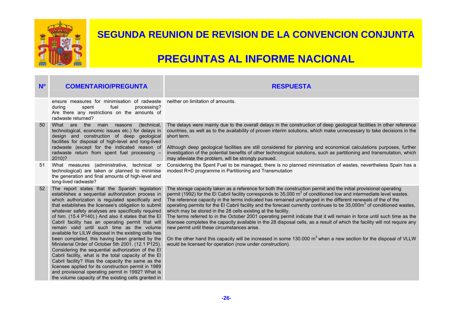

#### **SEGUNDA REUNION DE REVISION DE LA CONVENCION CONJUNTA**

| N <sup>o</sup> | <b>COMENTARIO/PREGUNTA</b>                                                                                                                                                                                                                                                                                                                                                                                                                                                                                                                                                                                                                                                                                                                                                                                                                                                                                                                    | <b>RESPUESTA</b>                                                                                                                                                                                                                                                                                                                                                                                                                                                                                                                                                                                                                                                                                                                                                                                                                                                                                                                                                                                                                                                                 |
|----------------|-----------------------------------------------------------------------------------------------------------------------------------------------------------------------------------------------------------------------------------------------------------------------------------------------------------------------------------------------------------------------------------------------------------------------------------------------------------------------------------------------------------------------------------------------------------------------------------------------------------------------------------------------------------------------------------------------------------------------------------------------------------------------------------------------------------------------------------------------------------------------------------------------------------------------------------------------|----------------------------------------------------------------------------------------------------------------------------------------------------------------------------------------------------------------------------------------------------------------------------------------------------------------------------------------------------------------------------------------------------------------------------------------------------------------------------------------------------------------------------------------------------------------------------------------------------------------------------------------------------------------------------------------------------------------------------------------------------------------------------------------------------------------------------------------------------------------------------------------------------------------------------------------------------------------------------------------------------------------------------------------------------------------------------------|
|                | ensure measures for minimisation of radwaste<br>fuel<br>during<br>spent<br>processing?<br>Are there any restrictions on the amounts of<br>radwaste returned?                                                                                                                                                                                                                                                                                                                                                                                                                                                                                                                                                                                                                                                                                                                                                                                  | neither on limitation of amounts.                                                                                                                                                                                                                                                                                                                                                                                                                                                                                                                                                                                                                                                                                                                                                                                                                                                                                                                                                                                                                                                |
| 50             | the<br>What are<br>(technical,<br>main reasons<br>technological, economic issues etc.) for delays in<br>design and construction of deep geological<br>facilities for disposal of high-level and long-lived<br>radwaste (except for the indicated reason of<br>radwaste return from spent fuel processing -<br>2010)?                                                                                                                                                                                                                                                                                                                                                                                                                                                                                                                                                                                                                          | The delays were mainly due to the overall delays in the construction of deep geological facilities in other reference<br>countries, as well as to the availability of proven interim solutions, which make unnecessary to take decisions in the<br>short term.<br>Although deep geological facilities are still considered for planning and economical calculations purposes, further<br>investigation of the potential benefits of other technological solutions, such as partitioning and transmutation, which<br>may alleviate the problem, will be strongly pursued.                                                                                                                                                                                                                                                                                                                                                                                                                                                                                                         |
| 51             | What measures (administrative, technical or<br>technological) are taken or planned to minimise<br>the generation and final amounts of high-level and<br>long-lived radwaste?                                                                                                                                                                                                                                                                                                                                                                                                                                                                                                                                                                                                                                                                                                                                                                  | Considering the Spent Fuel to be managed, there is no planned minimisation of wastes, nevertheless Spain has a<br>modest R+D programme in Partitioning and Transmutation                                                                                                                                                                                                                                                                                                                                                                                                                                                                                                                                                                                                                                                                                                                                                                                                                                                                                                         |
| 52             | The report states that the Spanish legislation<br>establishes a sequential authorization process in<br>which authorization is regulated specifically and<br>that establishes the licensee's obligation to submit<br>whatever safety analyses are specifically required<br>of him. (15.4 P140).) And also it states that the El<br>Cabril facility has an operating permit that will<br>remain valid until such time as the volume<br>available for LILW disposal in the existing cells has<br>been completed, this having been granted by the<br>Ministerial Order of October 5th 2001. (12.1 P125).<br>Considering the sequential authorization of the EI<br>Cabril facility, what is the total capacity of the El<br>Cabril facility? Was the capacity the same as the<br>licensee applied for its construction permit in 1989<br>and provisional operating permit in 1992? What is<br>the volume capacity of the existing cells granted in | The storage capacity taken as a reference for both the construction permit and the initial provisional operating<br>permit (1992) for the El Cabril facility corresponds to 35,000 m <sup>3</sup> of conditioned low and intermediate level wastes.<br>The reference capacity in the terms indicated has remained unchanged in the different renewals of the of the<br>operating permits for the EI Cabril facility and the forecast currently continues to be 35,000m <sup>3</sup> of conditioned wastes,<br>which may be stored in the 28 cells existing at the facility.<br>The terms referred to in the October 2001 operating permit indicate that it will remain in force until such time as the<br>licensee completes the capacity available in the 28 disposal cells, as a result of which the facility will not require any<br>new permit until these circumstances arise.<br>On the other hand this capacity will be increased in some 130.000 m <sup>3</sup> when a new section for the disposal of VLLW<br>would be licensed for operation (now under construction). |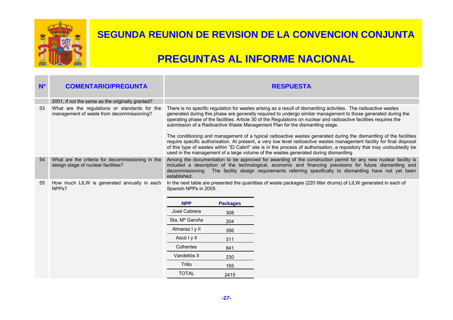

| N <sup>o</sup> | <b>COMENTARIO/PREGUNTA</b>                                                                 | <b>RESPUESTA</b>                                                                                                                                                                                                                                                                                                                                                                                                                                                                                                                                                                                                                                                                                                                                                                                                     |
|----------------|--------------------------------------------------------------------------------------------|----------------------------------------------------------------------------------------------------------------------------------------------------------------------------------------------------------------------------------------------------------------------------------------------------------------------------------------------------------------------------------------------------------------------------------------------------------------------------------------------------------------------------------------------------------------------------------------------------------------------------------------------------------------------------------------------------------------------------------------------------------------------------------------------------------------------|
|                | 2001, if not the same as the originally granted?                                           |                                                                                                                                                                                                                                                                                                                                                                                                                                                                                                                                                                                                                                                                                                                                                                                                                      |
| 53             | What are the regulations or standards for the<br>management of waste from decommissioning? | There is no specific regulation for wastes arising as a result of dismantling activities. The radioactive wastes<br>generated during this phase are generally required to undergo similar management to those generated during the<br>operating phase of the facilities. Article 30 of the Regulations on nuclear and radioactive facilities requires the<br>submission of a Radioactive Waste Management Plan for the dismantling stage.<br>The conditioning and management of a typical radioactive wastes generated during the dismantling of the facilities<br>require specific authorisation. At present, a very low level radioactive wastes management facility for final disposal<br>of this type of wastes within "El Cabril" site is in the process of authorisation, a repository that may undoubtedly be |
|                |                                                                                            | used in the management of a large volume of the wastes generated during dismantling                                                                                                                                                                                                                                                                                                                                                                                                                                                                                                                                                                                                                                                                                                                                  |
| 54             | What are the criteria for decommissioning in the<br>design stage of nuclear facilities?    | Among the documentation to be approved for awarding of the construction permit for any new nuclear facility is<br>included a description of the technological, economic and financing previsions for future dismantling and<br>decommissioning. The facility design requirements referring specifically to dismantling have not yet been<br>established.                                                                                                                                                                                                                                                                                                                                                                                                                                                             |
| 55             | How much LILW is generated annually in each<br>NPP <sub>s</sub> ?                          | In the next table are presented the quantities of waste packages (220 litter drums) of LILW generated in each of<br>Spanish NPPs in 2005.                                                                                                                                                                                                                                                                                                                                                                                                                                                                                                                                                                                                                                                                            |
|                |                                                                                            | <b>NPP</b><br><b>Packages</b>                                                                                                                                                                                                                                                                                                                                                                                                                                                                                                                                                                                                                                                                                                                                                                                        |
|                |                                                                                            | José Cabrera<br>308                                                                                                                                                                                                                                                                                                                                                                                                                                                                                                                                                                                                                                                                                                                                                                                                  |
|                |                                                                                            | Sta. M <sup>a</sup> Garoña<br>204                                                                                                                                                                                                                                                                                                                                                                                                                                                                                                                                                                                                                                                                                                                                                                                    |
|                |                                                                                            | Almaraz I y II<br>356                                                                                                                                                                                                                                                                                                                                                                                                                                                                                                                                                                                                                                                                                                                                                                                                |
|                |                                                                                            | Ascó I y II<br>311                                                                                                                                                                                                                                                                                                                                                                                                                                                                                                                                                                                                                                                                                                                                                                                                   |
|                |                                                                                            | Cofrentes<br>841                                                                                                                                                                                                                                                                                                                                                                                                                                                                                                                                                                                                                                                                                                                                                                                                     |
|                |                                                                                            | Vandellós II<br>230                                                                                                                                                                                                                                                                                                                                                                                                                                                                                                                                                                                                                                                                                                                                                                                                  |
|                |                                                                                            | Trillo<br>165                                                                                                                                                                                                                                                                                                                                                                                                                                                                                                                                                                                                                                                                                                                                                                                                        |
|                |                                                                                            | <b>TOTAL</b><br>2415                                                                                                                                                                                                                                                                                                                                                                                                                                                                                                                                                                                                                                                                                                                                                                                                 |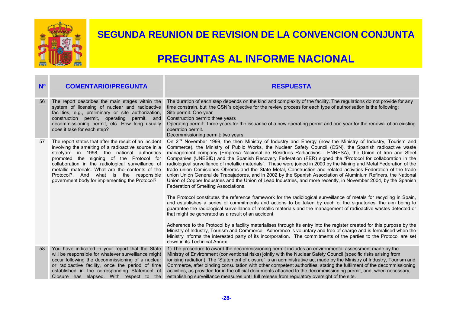

| N <sup>o</sup> | <b>COMENTARIO/PREGUNTA</b>                                                                                                                                                                                                                                                                                                                                                                                    | <b>RESPUESTA</b>                                                                                                                                                                                                                                                                                                                                                                                                                                                                                                                                                                                                                                                                                                                                                                                                                                                                                                                                                                  |
|----------------|---------------------------------------------------------------------------------------------------------------------------------------------------------------------------------------------------------------------------------------------------------------------------------------------------------------------------------------------------------------------------------------------------------------|-----------------------------------------------------------------------------------------------------------------------------------------------------------------------------------------------------------------------------------------------------------------------------------------------------------------------------------------------------------------------------------------------------------------------------------------------------------------------------------------------------------------------------------------------------------------------------------------------------------------------------------------------------------------------------------------------------------------------------------------------------------------------------------------------------------------------------------------------------------------------------------------------------------------------------------------------------------------------------------|
| 56             | The report describes the main stages within the<br>system of licensing of nuclear and radioactive<br>facilities, e.g., preliminary or site authorization,<br>construction permit, operating permit, and<br>decommissioning permit, etc. How long usually<br>does it take for each step?                                                                                                                       | The duration of each step depends on the kind and complexity of the facility. The regulations do not provide for any<br>time constrain, but the CSN's objective for the review process for each type of authorisation is the following:<br>Site permit. One year<br>Construction permit: three years<br>Operating permit: three years for the issuance of a new operating permit and one year for the renewal of an existing<br>operation permit.<br>Decommissioning permit: two years.                                                                                                                                                                                                                                                                                                                                                                                                                                                                                           |
| 57             | The report states that after the result of an incident<br>involving the smelting of a radioactive source in a<br>steelyard in 1998, the national authorities<br>promoted the signing of the Protocol for<br>collaboration in the radiological surveillance of<br>metallic materials. What are the contents of the<br>Protocol?. And what is the responsible<br>government body for implementing the Protocol? | On 2 <sup>nd</sup> November 1999, the then Ministry of Industry and Energy (now the Ministry of Industry, Tourism and<br>Commerce), the Ministry of Public Works, the Nuclear Safety Council (CSN), the Spanish radioactive waste<br>management company (Empresa Nacional de Residuos Radiactivos - ENRESA), the Union of Iron and Steel<br>Companies (UNESID) and the Spanish Recovery Federation (FER) signed the "Protocol for collaboration in the<br>radiological surveillance of metallic materials". These were joined in 2000 by the Mining and Metal Federation of the<br>trade union Comisiones Obreras and the State Metal, Construction and related activities Federation of the trade<br>union Unión General de Trabajadores, and in 2002 by the Spanish Association of Aluminium Refiners, the National<br>Union of Copper Industries and the Union of Lead Industries, and more recently, in November 2004, by the Spanish<br>Federation of Smelting Associations. |
|                |                                                                                                                                                                                                                                                                                                                                                                                                               | The Protocol constitutes the reference framework for the radiological surveillance of metals for recycling in Spain,<br>and establishes a series of commitments and actions to be taken by each of the signatories, the aim being to<br>guarantee the radiological surveillance of metallic materials and the management of radioactive wastes detected or<br>that might be generated as a result of an accident.                                                                                                                                                                                                                                                                                                                                                                                                                                                                                                                                                                 |
|                |                                                                                                                                                                                                                                                                                                                                                                                                               | Adherence to the Protocol by a facility materialises through its entry into the register created for this purpose by the<br>Ministry of Industry, Tourism and Commerce. Adherence is voluntary and free of charge and is formalised when the<br>Ministry informs the interested party of its incorporation. The commitments of the parties to the Protocol are set<br>down in its Technical Annex.                                                                                                                                                                                                                                                                                                                                                                                                                                                                                                                                                                                |
| 58             | You have indicated in your report that the State<br>will be responsible for whatever surveillance might<br>occur following the decommissioning of a nuclear<br>or radioactive facility, once the period of time<br>established in the corresponding Statement of<br>Closure has elapsed. With respect to the                                                                                                  | 1) The procedure to award the decommissioning permit includes an environmental assessment made by the<br>Ministry of Environment (conventional risks) jointly with the Nuclear Safety Council (specific risks arising from<br>ionising radiation). The "Statement of closure" is an administrative act made by the Ministry of Industry, Tourism and<br>Commerce, after binding consultation with other competent authorities, stating the fulfilment of the decommissioning<br>activities, as provided for in the official documents attached to the decommissioning permit, and, when necessary,<br>establishing surveillance measures until full release from regulatory oversight of the site.                                                                                                                                                                                                                                                                                |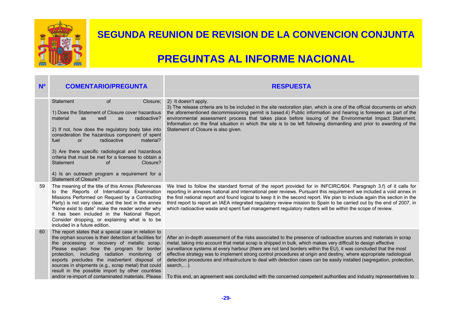

| N <sup>o</sup> | <b>COMENTARIO/PREGUNTA</b>                                                                                                                                                                                                                                                                                                                                                                                                                                                                                         | <b>RESPUESTA</b>                                                                                                                                                                                                                                                                                                                                                                                                                                                                                                                                                                                                                                                                                                                           |
|----------------|--------------------------------------------------------------------------------------------------------------------------------------------------------------------------------------------------------------------------------------------------------------------------------------------------------------------------------------------------------------------------------------------------------------------------------------------------------------------------------------------------------------------|--------------------------------------------------------------------------------------------------------------------------------------------------------------------------------------------------------------------------------------------------------------------------------------------------------------------------------------------------------------------------------------------------------------------------------------------------------------------------------------------------------------------------------------------------------------------------------------------------------------------------------------------------------------------------------------------------------------------------------------------|
|                | of<br>Statement<br>Closure;<br>1) Does the Statement of Closure cover hazardous<br>material<br>well<br>radioactive?<br>as<br>as<br>2) If not, how does the regulatory body take into<br>consideration the hazardous component of spent<br>fuel<br>radioactive<br>material?<br>or<br>3) Are there specific radiological and hazardous<br>criteria that must be met for a licensee to obtain a<br>Closure?<br>Statement<br>$\Omega$<br>4) Is an outreach program a requirement for a<br><b>Statement of Closure?</b> | 2) It doesn't apply.<br>3) The release criteria are to be included in the site restoration plan, which is one of the official documents on which<br>the aforementioned decommissioning permit is based.4) Public information and hearing is foreseen as part of the<br>environmental assessment process that takes place before issuing of the Environmental Impact Statement.<br>Information on the final situation in which the site is to be left following dismantling and prior to awarding of the<br>Statement of Closure is also given.                                                                                                                                                                                             |
| 59             | The meaning of the title of this Annex (References<br>to the Reports of International Examination<br>Missions Performed on Request by a Contracting<br>Party) is not very clear, and the text in the annex<br>"None exist to date" make the reader wonder why<br>it has been included in the National Report.<br>Consider dropping, or explaining what is to be<br>included in a future edition.                                                                                                                   | We tried to follow the standard format of the report provided for in INFCIRC/604. Paragraph 3.f) of it calls for<br>reporting in annexes national and international peer reviews. Pursuant this requirement we included a void annex in<br>the first national report and found logical to keep it in the second report. We plan to include again this section in the<br>third report to report an IAEA integrated regulatory review mission to Spain to be carried out by the end of 2007, in<br>which radioactive waste and spent fuel management regulatory matters will be within the scope of review.                                                                                                                                  |
| 60             | The report states that a special case in relation to<br>the orphan sources is their detection at facilities for<br>the processing or recovery of metallic scrap.<br>Please explain how the program for border<br>protection, including radiation monitoring of<br>exports precludes the inadvertent disposal of<br>sources in shipments (e.g., scrap metal) that could<br>result in the possible import by other countries<br>and/or re-import of contaminated materials. Please                                   | After an in-depth assessment of the risks associated to the presence of radioactive sources and materials in scrap<br>metal, taking into account that metal scrap is shipped in bulk, which makes very difficult to design effective<br>surveillance systems at every harbour (there are not land borders within the EU), it was concluded that the most<br>effective strategy was to implement strong control procedures at origin and destiny, where appropriate radiological<br>detection procedures and infrastructure to deal with detection cases can be easily installed (segregation, protection,<br>search,).<br>To this end, an agreement was concluded with the concerned competent authorities and industry representatives to |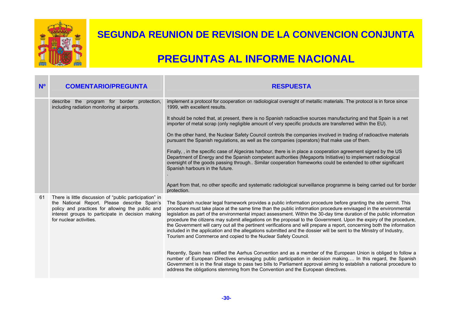

| N <sup>o</sup> | <b>COMENTARIO/PREGUNTA</b>                                                                                                                                                                                                                  | <b>RESPUESTA</b>                                                                                                                                                                                                                                                                                                                                                                                                                                                                                                                                                                                                                                                                                                                                                                                         |
|----------------|---------------------------------------------------------------------------------------------------------------------------------------------------------------------------------------------------------------------------------------------|----------------------------------------------------------------------------------------------------------------------------------------------------------------------------------------------------------------------------------------------------------------------------------------------------------------------------------------------------------------------------------------------------------------------------------------------------------------------------------------------------------------------------------------------------------------------------------------------------------------------------------------------------------------------------------------------------------------------------------------------------------------------------------------------------------|
|                | describe the<br>program for border protection,<br>including radiation monitoring at airports.                                                                                                                                               | implement a protocol for cooperation on radiological oversight of metallic materials. The protocol is in force since<br>1999, with excellent results.                                                                                                                                                                                                                                                                                                                                                                                                                                                                                                                                                                                                                                                    |
|                |                                                                                                                                                                                                                                             | It should be noted that, at present, there is no Spanish radioactive sources manufacturing and that Spain is a net<br>importer of metal scrap (only negligible amount of very specific products are transferred within the EU).                                                                                                                                                                                                                                                                                                                                                                                                                                                                                                                                                                          |
|                |                                                                                                                                                                                                                                             | On the other hand, the Nuclear Safety Council controls the companies involved in trading of radioactive materials<br>pursuant the Spanish regulations, as well as the companies (operators) that make use of them.                                                                                                                                                                                                                                                                                                                                                                                                                                                                                                                                                                                       |
|                |                                                                                                                                                                                                                                             | Finally, , in the specific case of Algeciras harbour, there is in place a cooperation agreement signed by the US<br>Department of Energy and the Spanish competent authorities (Megaports Initiative) to implement radiological<br>oversight of the goods passing through Similar cooperation frameworks could be extended to other significant<br>Spanish harbours in the future.                                                                                                                                                                                                                                                                                                                                                                                                                       |
|                |                                                                                                                                                                                                                                             | Apart from that, no other specific and systematic radiological surveillance programme is being carried out for border<br>protection.                                                                                                                                                                                                                                                                                                                                                                                                                                                                                                                                                                                                                                                                     |
| 61             | There is little discussion of "public participation" in<br>the National Report. Please describe Spain's<br>policy and practices for allowing the public and<br>interest groups to participate in decision making<br>for nuclear activities. | The Spanish nuclear legal framework provides a public information procedure before granting the site permit. This<br>procedure must take place at the same time than the public information procedure envisaged in the environmental<br>legislation as part of the environmental impact assessment. Within the 30-day time duration of the public information<br>procedure the citizens may submit allegations on the proposal to the Government. Upon the expiry of the procedure,<br>the Government will carry out all the pertinent verifications and will prepare a report, concerning both the information<br>included in the application and the allegations submitted and the dossier will be sent to the Ministry of Industry,<br>Tourism and Commerce and copied to the Nuclear Safety Council. |
|                |                                                                                                                                                                                                                                             | Recently, Spain has ratified the Aarhus Convention and as a member of the European Union is obliged to follow a<br>number of European Directives envisaging public participation in decision making In this regard, the Spanish<br>Government is in the final stage to pass two bills to Parliament approval aiming to establish a national procedure to<br>address the obligations stemming from the Convention and the European directives.                                                                                                                                                                                                                                                                                                                                                            |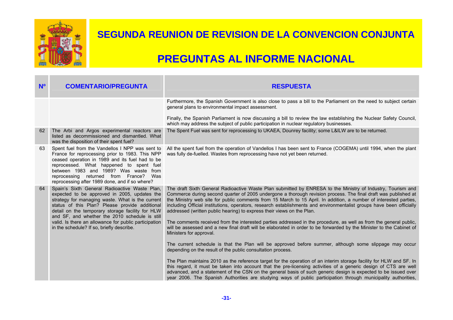

| N <sup>o</sup> | <b>COMENTARIO/PREGUNTA</b>                                                                                                                                                                                                                                                                                                                                                                                      | <b>RESPUESTA</b>                                                                                                                                                                                                                                                                                                                                                                                                                                                                                                                                                                                                                                                                                                                                                                                                                                                                                                                                                                                      |
|----------------|-----------------------------------------------------------------------------------------------------------------------------------------------------------------------------------------------------------------------------------------------------------------------------------------------------------------------------------------------------------------------------------------------------------------|-------------------------------------------------------------------------------------------------------------------------------------------------------------------------------------------------------------------------------------------------------------------------------------------------------------------------------------------------------------------------------------------------------------------------------------------------------------------------------------------------------------------------------------------------------------------------------------------------------------------------------------------------------------------------------------------------------------------------------------------------------------------------------------------------------------------------------------------------------------------------------------------------------------------------------------------------------------------------------------------------------|
|                |                                                                                                                                                                                                                                                                                                                                                                                                                 | Furthermore, the Spanish Government is also close to pass a bill to the Parliament on the need to subject certain<br>general plans to environmental impact assessment.                                                                                                                                                                                                                                                                                                                                                                                                                                                                                                                                                                                                                                                                                                                                                                                                                                |
|                |                                                                                                                                                                                                                                                                                                                                                                                                                 | Finally, the Spanish Parliament is now discussing a bill to review the law establishing the Nuclear Safety Council,<br>which may address the subject of public participation in nuclear regulatory businesses.                                                                                                                                                                                                                                                                                                                                                                                                                                                                                                                                                                                                                                                                                                                                                                                        |
| 62             | The Arbi and Argos experimental reactors are<br>listed as decommissioned and dismantled. What<br>was the disposition of their spent fuel?                                                                                                                                                                                                                                                                       | The Spent Fuel was sent for reprocessing to UKAEA, Dounrey facility; some L&ILW are to be returned.                                                                                                                                                                                                                                                                                                                                                                                                                                                                                                                                                                                                                                                                                                                                                                                                                                                                                                   |
| 63             | Spent fuel from the Vandellos I NPP was sent to<br>France for reprocessing prior to 1983. This NPP<br>ceased operation in 1989 and its fuel had to be<br>reprocessed. What happened to spent fuel<br>between 1983 and 1989? Was waste from<br>reprocessing returned from France? Was<br>reprocessing after 1989 done, and if so where?                                                                          | All the spent fuel from the operation of Vandellos I has been sent to France (COGEMA) until 1994, when the plant<br>was fully de-fuelled. Wastes from reprocessing have not yet been returned.                                                                                                                                                                                                                                                                                                                                                                                                                                                                                                                                                                                                                                                                                                                                                                                                        |
| 64             | Spain's Sixth General Radioactive Waste Plan,<br>expected to be approved in 2005, updates the<br>strategy for managing waste. What is the current<br>status of this Plan? Please provide additional<br>detail on the temporary storage facility for HLW<br>and SF, and whether the 2010 schedule is still<br>valid. Is there an allowance for public participation<br>in the schedule? If so, briefly describe. | The draft Sixth General Radioactive Waste Plan submitted by ENRESA to the Ministry of Industry, Tourism and<br>Commerce during second quarter of 2005 undergone a thorough revision process. The final draft was published at<br>the Ministry web site for public comments from 15 March to 15 April. In addition, a number of interested parties,<br>including Official institutions, operators, research establishments and environmentalist groups have been officially<br>addressed (written public hearing) to express their views on the Plan.<br>The comments received from the interested parties addressed in the procedure, as well as from the general public,<br>will be assessed and a new final draft will be elaborated in order to be forwarded by the Minister to the Cabinet of<br>Ministers for approval.<br>The current schedule is that the Plan will be approved before summer, although some slippage may occur<br>depending on the result of the public consultation process. |
|                |                                                                                                                                                                                                                                                                                                                                                                                                                 | The Plan maintains 2010 as the reference target for the operation of an interim storage facility for HLW and SF. In<br>this regard, it must be taken into account that the pre-licensing activities of a generic design of CTS are well<br>advanced, and a statement of the CSN on the general basis of such generic design is expected to be issued over<br>year 2006. The Spanish Authorities are studying ways of public participation through municipality authorities,                                                                                                                                                                                                                                                                                                                                                                                                                                                                                                                           |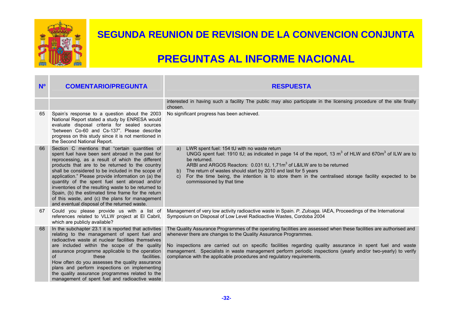

| N <sup>o</sup> | <b>COMENTARIO/PREGUNTA</b>                                                                                                                                                                                                                                                                                                                                                                                                                                                                                                                                                               | <b>RESPUESTA</b>                                                                                                                                                                                                                                                                                                                                                                                                                                                                                      |
|----------------|------------------------------------------------------------------------------------------------------------------------------------------------------------------------------------------------------------------------------------------------------------------------------------------------------------------------------------------------------------------------------------------------------------------------------------------------------------------------------------------------------------------------------------------------------------------------------------------|-------------------------------------------------------------------------------------------------------------------------------------------------------------------------------------------------------------------------------------------------------------------------------------------------------------------------------------------------------------------------------------------------------------------------------------------------------------------------------------------------------|
|                |                                                                                                                                                                                                                                                                                                                                                                                                                                                                                                                                                                                          | interested in having such a facility The public may also participate in the licensing procedure of the site finally<br>chosen.                                                                                                                                                                                                                                                                                                                                                                        |
| 65             | Spain's response to a question about the 2003<br>National Report stated a study by ENRESA would<br>evaluate disposal criteria for sealed sources<br>"between Co-60 and Cs-137". Please describe<br>progress on this study since it is not mentioned in<br>the Second National Report.                                                                                                                                                                                                                                                                                                    | No significant progress has been achieved.                                                                                                                                                                                                                                                                                                                                                                                                                                                            |
| 66             | Section C mentions that "certain quantities of<br>spent fuel have been sent abroad in the past for<br>reprocessing, as a result of which the different<br>products that are to be returned to the country<br>shall be considered to be included in the scope of<br>application." Please provide information on (a) the<br>quantity of the spent fuel sent abroad and/or<br>inventories of the resulting waste to be returned to<br>Spain, (b) the estimated time frame for the return<br>of this waste, and (c) the plans for management<br>and eventual disposal of the returned waste. | LWR spent fuel: 154 tU with no waste return<br>a)<br>UNGG spent fuel: 1910 tU; as indicated in page 14 of the report, 13 $m3$ of HLW and 670 $m3$ of ILW are to<br>be returned.<br>ARBI and ARGOS Reactors: 0.031 tU, 1,71m <sup>3</sup> of L&ILW are to be returned<br>The return of wastes should start by 2010 and last for 5 years<br>b)<br>For the time being, the intention is to store them in the centralised storage facility expected to be<br>$\mathcal{C}$ )<br>commissioned by that time |
| 67             | Could you please provide us with a list of<br>references related to VLLW project at El Cabril,<br>which are publicly available?                                                                                                                                                                                                                                                                                                                                                                                                                                                          | Management of very low activity radioactive waste in Spain. P. Zuloaga. IAEA, Proceedings of the International<br>Symposium on Disposal of Low Level Radioactive Wastes, Cordoba 2004                                                                                                                                                                                                                                                                                                                 |
| 68             | In the subchapter 23.1 it is reported that activities<br>relating to the management of spent fuel and<br>radioactive waste at nuclear facilities themselves<br>are included within the scope of the quality<br>assurance programme applicable to the operation<br>$\Omega$<br>these<br>facilities.<br>How often do you assesses the quality assurance<br>plans and perform inspections on implementing<br>the quality assurance programmes related to the<br>management of spent fuel and radioactive waste                                                                              | The Quality Assurance Programmes of the operating facilities are assessed when these facilities are authorised and<br>whenever there are changes to the Quality Assurance Programmes.<br>No inspections are carried out on specific facilities regarding quality assurance in spent fuel and waste<br>management. Specialists in waste management perform periodic inspections (yearly and/or two-yearly) to verify<br>compliance with the applicable procedures and regulatory requirements.         |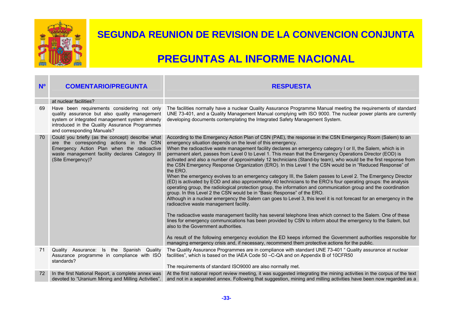

| $N^{\circ}$ | <b>COMENTARIO/PREGUNTA</b>                                                                                                                                                                                                     | <b>RESPUESTA</b>                                                                                                                                                                                                                                                                                                                                                                                                                                                                                                                                                                                                                                                                                                                                                                                                                                                                                                                                                                                                                                                                                                                                                                                                                                                                                                                                                                                                                                                                                                                                                                                                                                                                                                                                      |
|-------------|--------------------------------------------------------------------------------------------------------------------------------------------------------------------------------------------------------------------------------|-------------------------------------------------------------------------------------------------------------------------------------------------------------------------------------------------------------------------------------------------------------------------------------------------------------------------------------------------------------------------------------------------------------------------------------------------------------------------------------------------------------------------------------------------------------------------------------------------------------------------------------------------------------------------------------------------------------------------------------------------------------------------------------------------------------------------------------------------------------------------------------------------------------------------------------------------------------------------------------------------------------------------------------------------------------------------------------------------------------------------------------------------------------------------------------------------------------------------------------------------------------------------------------------------------------------------------------------------------------------------------------------------------------------------------------------------------------------------------------------------------------------------------------------------------------------------------------------------------------------------------------------------------------------------------------------------------------------------------------------------------|
|             | at nuclear facilities?                                                                                                                                                                                                         |                                                                                                                                                                                                                                                                                                                                                                                                                                                                                                                                                                                                                                                                                                                                                                                                                                                                                                                                                                                                                                                                                                                                                                                                                                                                                                                                                                                                                                                                                                                                                                                                                                                                                                                                                       |
| 69          | Have been requirements considering not only<br>quality assurance but also quality management<br>system or integrated management system already<br>introduced in the Quality Assurance Programmes<br>and corresponding Manuals? | The facilities normally have a nuclear Quality Assurance Programme Manual meeting the requirements of standard<br>UNE 73-401, and a Quality Management Manual complying with ISO 9000. The nuclear power plants are currently<br>developing documents contemplating the Integrated Safety Management System.                                                                                                                                                                                                                                                                                                                                                                                                                                                                                                                                                                                                                                                                                                                                                                                                                                                                                                                                                                                                                                                                                                                                                                                                                                                                                                                                                                                                                                          |
| 70          | Could you briefly (as the concept) describe what<br>are the corresponding actions in the CSN<br>Emergency Action Plan when the radioactive<br>waste management facility declares Category III<br>(Site Emergency)?             | According to the Emergency Action Plan of CSN (PAE), the response in the CSN Emergency Room (Salem) to an<br>emergency situation depends on the level of this emergency.<br>When the radioactive waste management facility declares an emergency category I or II, the Salem, which is in<br>permanent alert, passes from Level 0 to Level 1. This mean that the Emergency Operations Director (EOD) is<br>activated and also a number of approximately 12 technicians (Stand-by team), who would be the first response from<br>the CSN Emergency Response Organization (ERO). In this Level 1 the CSN would be in "Reduced Response" of<br>the ERO.<br>When the emergency evolves to an emergency category III, the Salem passes to Level 2. The Emergency Director<br>(ED) is activated by EOD and also approximately 40 technicians to the ERO's four operating groups: the analysis<br>operating group, the radiological protection group, the information and communication group and the coordination<br>group. In this Level 2 the CSN would be in "Basic Response" of the ERO.<br>Although in a nuclear emergency the Salem can goes to Level 3, this level it is not forecast for an emergency in the<br>radioactive waste management facility.<br>The radioactive waste management facility has several telephone lines which connect to the Salem. One of these<br>lines for emergency communications has been provided by CSN to inform about the emergency to the Salem, but<br>also to the Government authorities.<br>As result of the following emergency evolution the ED keeps informed the Government authorities responsible for<br>managing emergency crisis and, if necessary, recommend them protective actions for the public. |
| 71          | Quality Assurance: Is the Spanish Quality<br>Assurance programme in compliance with ISO<br>standards?                                                                                                                          | The Quality Assurance Programmes are in compliance with standard UNE 73-401 " Quality assurance at nuclear<br>facilities", which is based on the IAEA Code 50 -C-QA and on Appendix B of 10CFR50<br>The requirements of standard ISO9000 are also normally met.                                                                                                                                                                                                                                                                                                                                                                                                                                                                                                                                                                                                                                                                                                                                                                                                                                                                                                                                                                                                                                                                                                                                                                                                                                                                                                                                                                                                                                                                                       |
| 72          | In the first National Report, a complete annex was<br>devoted to "Uranium Mining and Milling Activities".                                                                                                                      | At the first national report review meeting, it was suggested integrating the mining activities in the corpus of the text<br>and not in a separated annex. Following that suggestion, mining and milling activities have been now regarded as a                                                                                                                                                                                                                                                                                                                                                                                                                                                                                                                                                                                                                                                                                                                                                                                                                                                                                                                                                                                                                                                                                                                                                                                                                                                                                                                                                                                                                                                                                                       |